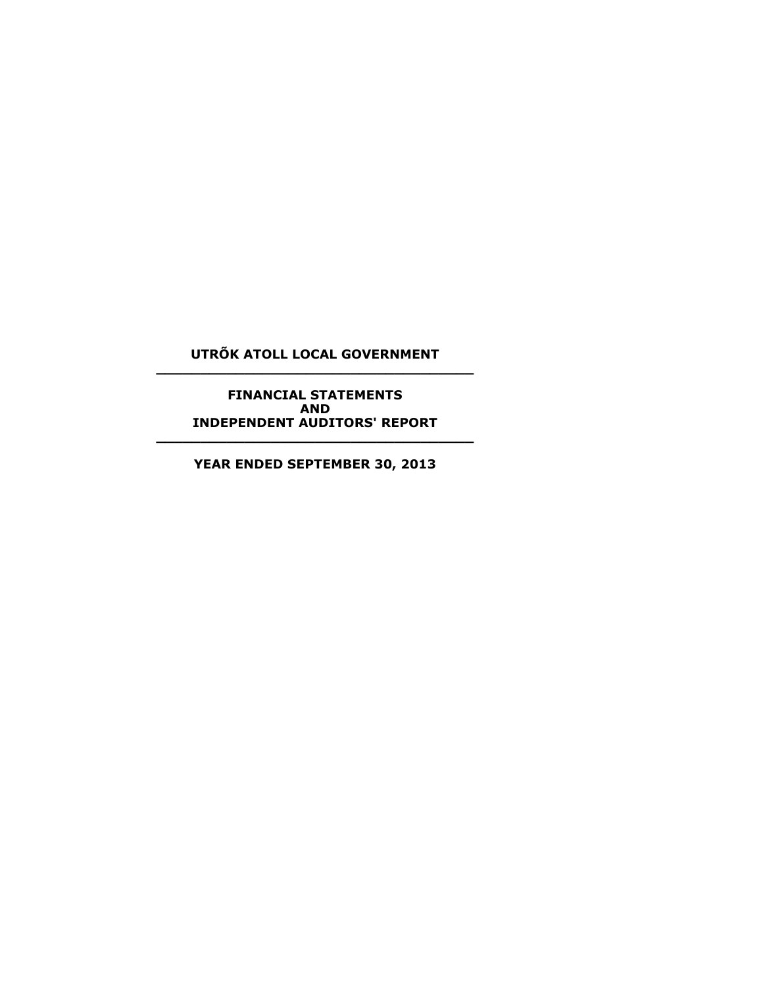# **UTRÕK ATOLL LOCAL GOVERNMENT \_\_\_\_\_\_\_\_\_\_\_\_\_\_\_\_\_\_\_\_\_\_\_\_\_\_\_\_\_\_\_\_\_\_\_\_**

**FINANCIAL STATEMENTS AND INDEPENDENT AUDITORS' REPORT**

**YEAR ENDED SEPTEMBER 30, 2013**

**\_\_\_\_\_\_\_\_\_\_\_\_\_\_\_\_\_\_\_\_\_\_\_\_\_\_\_\_\_\_\_\_\_\_\_\_**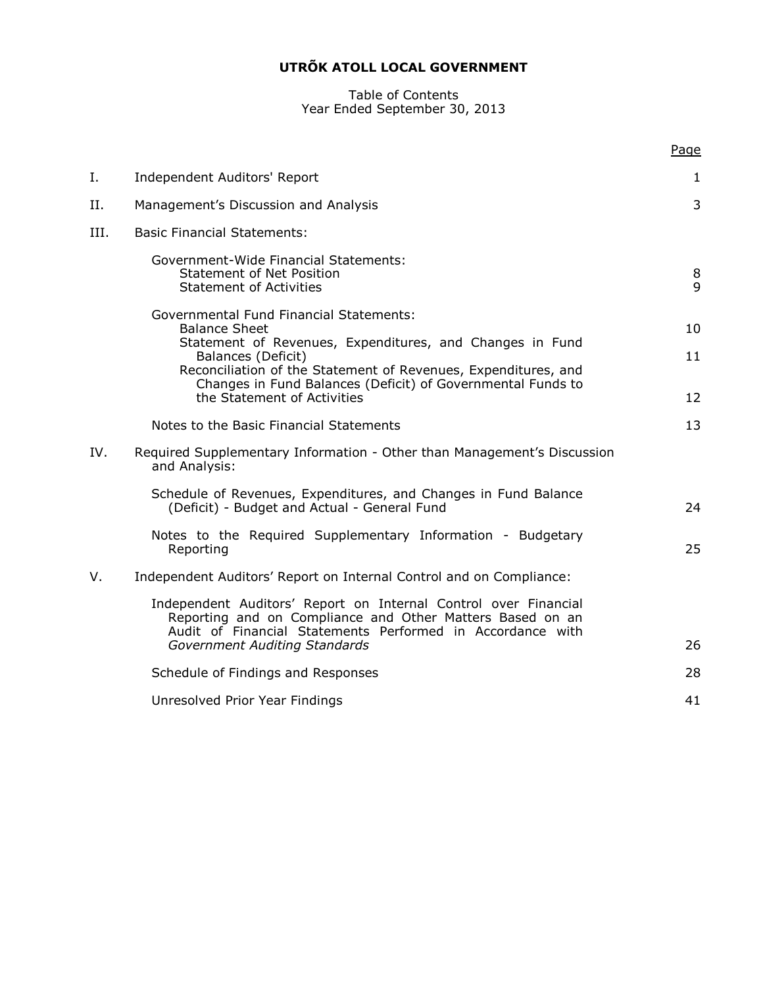#### Table of Contents Year Ended September 30, 2013

|      |                                                                                                                                                                                            | Page   |
|------|--------------------------------------------------------------------------------------------------------------------------------------------------------------------------------------------|--------|
| Ι.   | Independent Auditors' Report                                                                                                                                                               | 1      |
| П.   | Management's Discussion and Analysis                                                                                                                                                       | 3      |
| III. | <b>Basic Financial Statements:</b>                                                                                                                                                         |        |
|      | Government-Wide Financial Statements:<br><b>Statement of Net Position</b><br><b>Statement of Activities</b>                                                                                | 8<br>9 |
|      | <b>Governmental Fund Financial Statements:</b><br><b>Balance Sheet</b>                                                                                                                     | 10     |
|      | Statement of Revenues, Expenditures, and Changes in Fund<br>Balances (Deficit)                                                                                                             | 11     |
|      | Reconciliation of the Statement of Revenues, Expenditures, and<br>Changes in Fund Balances (Deficit) of Governmental Funds to<br>the Statement of Activities                               | 12     |
|      | Notes to the Basic Financial Statements                                                                                                                                                    | 13     |
| IV.  | Required Supplementary Information - Other than Management's Discussion<br>and Analysis:                                                                                                   |        |
|      | Schedule of Revenues, Expenditures, and Changes in Fund Balance<br>(Deficit) - Budget and Actual - General Fund                                                                            | 24     |
|      | Notes to the Required Supplementary Information - Budgetary<br>Reporting                                                                                                                   | 25     |
| V.   | Independent Auditors' Report on Internal Control and on Compliance:                                                                                                                        |        |
|      | Independent Auditors' Report on Internal Control over Financial<br>Reporting and on Compliance and Other Matters Based on an<br>Audit of Financial Statements Performed in Accordance with |        |
|      | Government Auditing Standards                                                                                                                                                              | 26     |
|      | Schedule of Findings and Responses                                                                                                                                                         | 28     |
|      | Unresolved Prior Year Findings                                                                                                                                                             | 41     |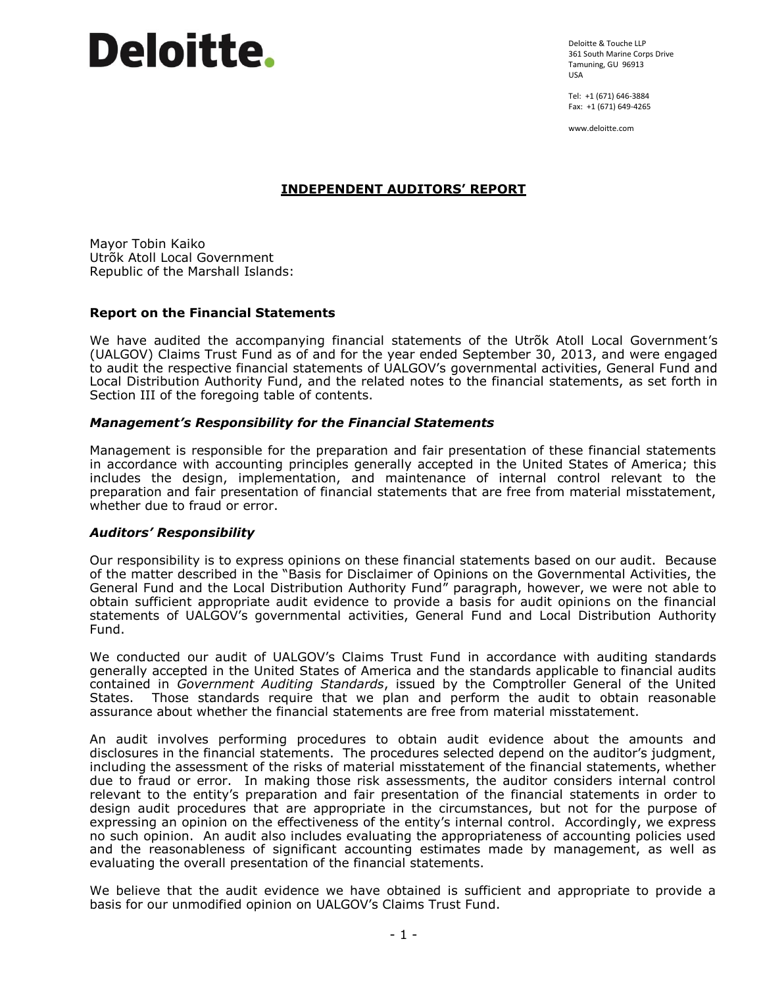Deloitte & Touche LLP 361 South Marine Corps Drive Tamuning, GU 96913 USA

Tel: +1 (671) 646-3884 Fax: +1 (671) 649-4265

www.deloitte.com

# **INDEPENDENT AUDITORS' REPORT**

Mayor Tobin Kaiko Utrõk Atoll Local Government Republic of the Marshall Islands:

# **Report on the Financial Statements**

We have audited the accompanying financial statements of the Utrõk Atoll Local Government's (UALGOV) Claims Trust Fund as of and for the year ended September 30, 2013, and were engaged to audit the respective financial statements of UALGOV's governmental activities, General Fund and Local Distribution Authority Fund, and the related notes to the financial statements, as set forth in Section III of the foregoing table of contents.

# *Management's Responsibility for the Financial Statements*

Management is responsible for the preparation and fair presentation of these financial statements in accordance with accounting principles generally accepted in the United States of America; this includes the design, implementation, and maintenance of internal control relevant to the preparation and fair presentation of financial statements that are free from material misstatement, whether due to fraud or error.

#### *Auditors' Responsibility*

Our responsibility is to express opinions on these financial statements based on our audit. Because of the matter described in the "Basis for Disclaimer of Opinions on the Governmental Activities, the General Fund and the Local Distribution Authority Fund" paragraph, however, we were not able to obtain sufficient appropriate audit evidence to provide a basis for audit opinions on the financial statements of UALGOV's governmental activities, General Fund and Local Distribution Authority Fund.

We conducted our audit of UALGOV's Claims Trust Fund in accordance with auditing standards generally accepted in the United States of America and the standards applicable to financial audits contained in *Government Auditing Standards*, issued by the Comptroller General of the United States. Those standards require that we plan and perform the audit to obtain reasonable assurance about whether the financial statements are free from material misstatement.

An audit involves performing procedures to obtain audit evidence about the amounts and disclosures in the financial statements. The procedures selected depend on the auditor's judgment, including the assessment of the risks of material misstatement of the financial statements, whether due to fraud or error. In making those risk assessments, the auditor considers internal control relevant to the entity's preparation and fair presentation of the financial statements in order to design audit procedures that are appropriate in the circumstances, but not for the purpose of expressing an opinion on the effectiveness of the entity's internal control. Accordingly, we express no such opinion. An audit also includes evaluating the appropriateness of accounting policies used and the reasonableness of significant accounting estimates made by management, as well as evaluating the overall presentation of the financial statements.

We believe that the audit evidence we have obtained is sufficient and appropriate to provide a basis for our unmodified opinion on UALGOV's Claims Trust Fund.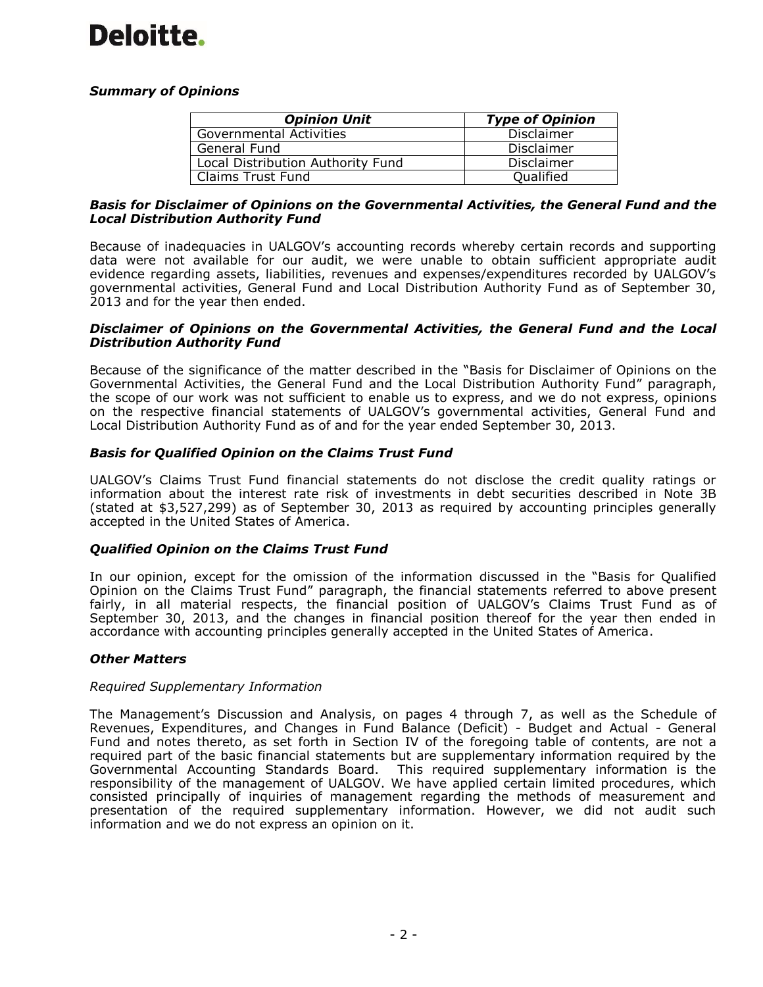# *Summary of Opinions*

| <b>Opinion Unit</b>               | <b>Type of Opinion</b> |
|-----------------------------------|------------------------|
| <b>Governmental Activities</b>    | <b>Disclaimer</b>      |
| General Fund                      | <b>Disclaimer</b>      |
| Local Distribution Authority Fund | Disclaimer             |
| Claims Trust Fund                 | Qualified              |

# *Basis for Disclaimer of Opinions on the Governmental Activities, the General Fund and the Local Distribution Authority Fund*

Because of inadequacies in UALGOV's accounting records whereby certain records and supporting data were not available for our audit, we were unable to obtain sufficient appropriate audit evidence regarding assets, liabilities, revenues and expenses/expenditures recorded by UALGOV's governmental activities, General Fund and Local Distribution Authority Fund as of September 30, 2013 and for the year then ended.

#### *Disclaimer of Opinions on the Governmental Activities, the General Fund and the Local Distribution Authority Fund*

Because of the significance of the matter described in the "Basis for Disclaimer of Opinions on the Governmental Activities, the General Fund and the Local Distribution Authority Fund" paragraph, the scope of our work was not sufficient to enable us to express, and we do not express, opinions on the respective financial statements of UALGOV's governmental activities, General Fund and Local Distribution Authority Fund as of and for the year ended September 30, 2013.

# *Basis for Qualified Opinion on the Claims Trust Fund*

UALGOV's Claims Trust Fund financial statements do not disclose the credit quality ratings or information about the interest rate risk of investments in debt securities described in Note 3B (stated at \$3,527,299) as of September 30, 2013 as required by accounting principles generally accepted in the United States of America.

# *Qualified Opinion on the Claims Trust Fund*

In our opinion, except for the omission of the information discussed in the "Basis for Qualified Opinion on the Claims Trust Fund" paragraph, the financial statements referred to above present fairly, in all material respects, the financial position of UALGOV's Claims Trust Fund as of September 30, 2013, and the changes in financial position thereof for the year then ended in accordance with accounting principles generally accepted in the United States of America.

# *Other Matters*

#### *Required Supplementary Information*

The Management's Discussion and Analysis, on pages 4 through 7, as well as the Schedule of Revenues, Expenditures, and Changes in Fund Balance (Deficit) - Budget and Actual - General Fund and notes thereto, as set forth in Section IV of the foregoing table of contents, are not a required part of the basic financial statements but are supplementary information required by the Governmental Accounting Standards Board. This required supplementary information is the responsibility of the management of UALGOV. We have applied certain limited procedures, which consisted principally of inquiries of management regarding the methods of measurement and presentation of the required supplementary information. However, we did not audit such information and we do not express an opinion on it.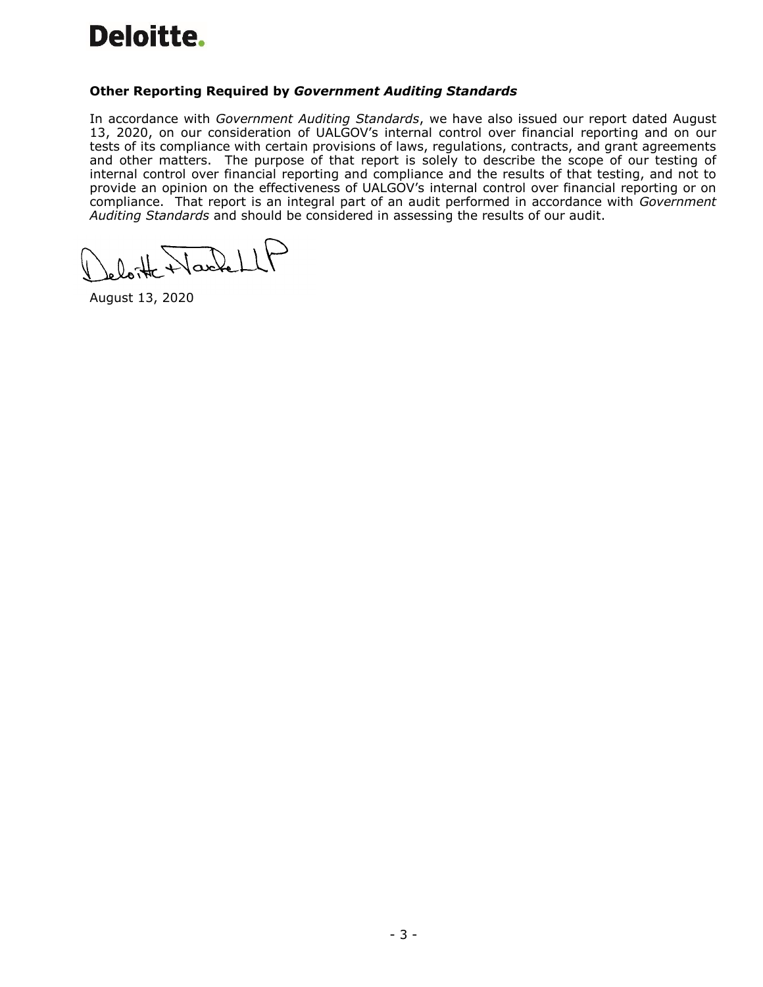# **Other Reporting Required by** *Government Auditing Standards*

In accordance with *Government Auditing Standards*, we have also issued our report dated August 13, 2020, on our consideration of UALGOV's internal control over financial reporting and on our tests of its compliance with certain provisions of laws, regulations, contracts, and grant agreements and other matters. The purpose of that report is solely to describe the scope of our testing of internal control over financial reporting and compliance and the results of that testing, and not to provide an opinion on the effectiveness of UALGOV's internal control over financial reporting or on compliance. That report is an integral part of an audit performed in accordance with *Government Auditing Standards* and should be considered in assessing the results of our audit.

August 13, 2020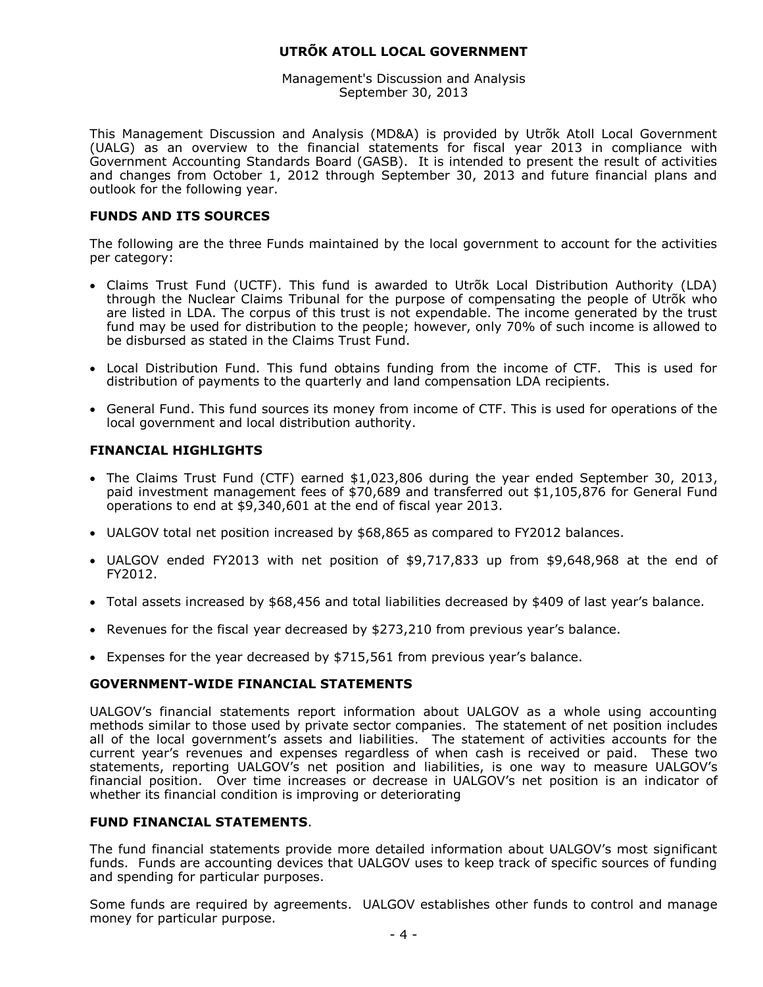Management's Discussion and Analysis September 30, 2013

This Management Discussion and Analysis (MD&A) is provided by Utrõk Atoll Local Government (UALG) as an overview to the financial statements for fiscal year 2013 in compliance with Government Accounting Standards Board (GASB). It is intended to present the result of activities and changes from October 1, 2012 through September 30, 2013 and future financial plans and outlook for the following year.

# **FUNDS AND ITS SOURCES**

The following are the three Funds maintained by the local government to account for the activities per category:

- Claims Trust Fund (UCTF). This fund is awarded to Utrõk Local Distribution Authority (LDA) through the Nuclear Claims Tribunal for the purpose of compensating the people of Utrõk who are listed in LDA. The corpus of this trust is not expendable. The income generated by the trust fund may be used for distribution to the people; however, only 70% of such income is allowed to be disbursed as stated in the Claims Trust Fund.
- Local Distribution Fund. This fund obtains funding from the income of CTF. This is used for distribution of payments to the quarterly and land compensation LDA recipients.
- General Fund. This fund sources its money from income of CTF. This is used for operations of the local government and local distribution authority.

#### **FINANCIAL HIGHLIGHTS**

- The Claims Trust Fund (CTF) earned \$1,023,806 during the year ended September 30, 2013, paid investment management fees of \$70,689 and transferred out \$1,105,876 for General Fund operations to end at \$9,340,601 at the end of fiscal year 2013.
- UALGOV total net position increased by \$68,865 as compared to FY2012 balances.
- UALGOV ended FY2013 with net position of \$9,717,833 up from \$9,648,968 at the end of FY2012.
- Total assets increased by \$68,456 and total liabilities decreased by \$409 of last year's balance.
- Revenues for the fiscal year decreased by \$273,210 from previous year's balance.
- Expenses for the year decreased by \$715,561 from previous year's balance.

#### **GOVERNMENT-WIDE FINANCIAL STATEMENTS**

UALGOV's financial statements report information about UALGOV as a whole using accounting methods similar to those used by private sector companies. The statement of net position includes all of the local government's assets and liabilities. The statement of activities accounts for the current year's revenues and expenses regardless of when cash is received or paid. These two statements, reporting UALGOV's net position and liabilities, is one way to measure UALGOV's financial position. Over time increases or decrease in UALGOV's net position is an indicator of whether its financial condition is improving or deteriorating

# **FUND FINANCIAL STATEMENTS**.

The fund financial statements provide more detailed information about UALGOV's most significant funds. Funds are accounting devices that UALGOV uses to keep track of specific sources of funding and spending for particular purposes.

Some funds are required by agreements. UALGOV establishes other funds to control and manage money for particular purpose.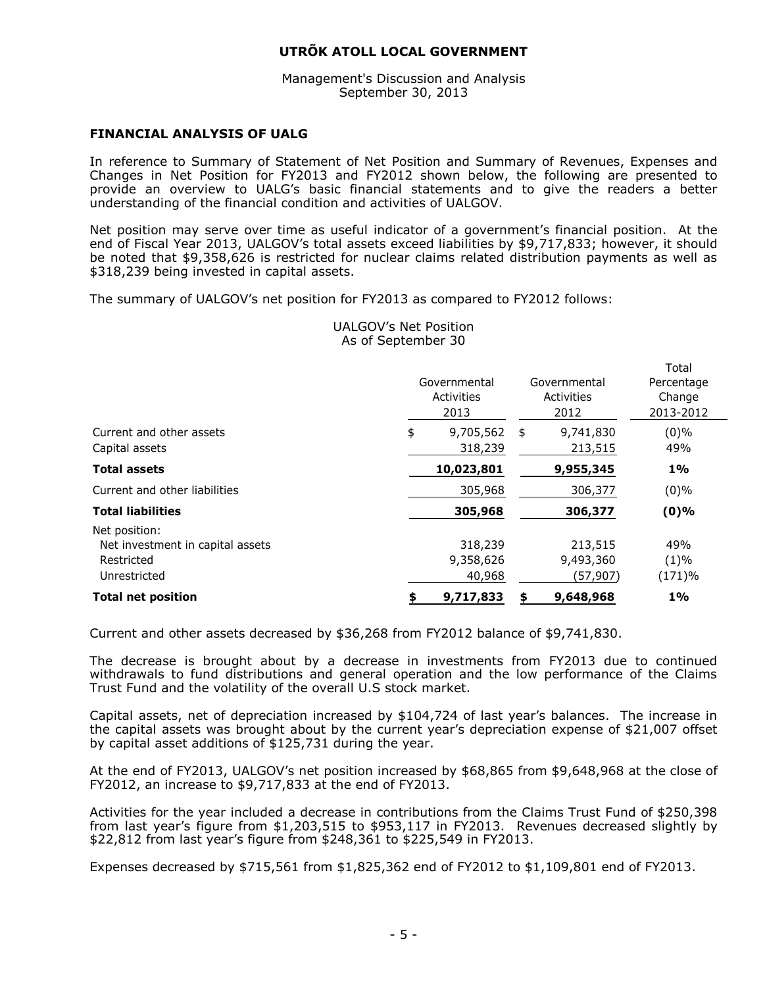Management's Discussion and Analysis September 30, 2013

# **FINANCIAL ANALYSIS OF UALG**

In reference to Summary of Statement of Net Position and Summary of Revenues, Expenses and Changes in Net Position for FY2013 and FY2012 shown below, the following are presented to provide an overview to UALG's basic financial statements and to give the readers a better understanding of the financial condition and activities of UALGOV.

Net position may serve over time as useful indicator of a government's financial position. At the end of Fiscal Year 2013, UALGOV's total assets exceed liabilities by \$9,717,833; however, it should be noted that \$9,358,626 is restricted for nuclear claims related distribution payments as well as \$318,239 being invested in capital assets.

The summary of UALGOV's net position for FY2013 as compared to FY2012 follows:

|                                                                                 | Governmental<br>Activities<br>2013 | Governmental<br>Activities<br>2012 | Total<br>Percentage<br>Change<br>2013-2012 |
|---------------------------------------------------------------------------------|------------------------------------|------------------------------------|--------------------------------------------|
| Current and other assets<br>\$                                                  | 9,705,562                          | 9,741,830<br>\$                    | $(0)\%$                                    |
| Capital assets                                                                  | 318,239                            | 213,515                            | 49%                                        |
| <b>Total assets</b>                                                             | 10,023,801                         | 9,955,345                          | $1\%$                                      |
| Current and other liabilities                                                   | 305,968                            | 306,377                            | $(0)\%$                                    |
| <b>Total liabilities</b>                                                        | 305,968                            | 306,377                            | $(0)\%$                                    |
| Net position:<br>Net investment in capital assets<br>Restricted<br>Unrestricted | 318,239<br>9,358,626<br>40,968     | 213,515<br>9,493,360<br>(57,907)   | 49%<br>$(1)\%$<br>(171)%                   |
| <b>Total net position</b>                                                       | 9,717,833                          | 9,648,968                          | $1\%$                                      |

UALGOV's Net Position As of September 30

Current and other assets decreased by \$36,268 from FY2012 balance of \$9,741,830.

The decrease is brought about by a decrease in investments from FY2013 due to continued withdrawals to fund distributions and general operation and the low performance of the Claims Trust Fund and the volatility of the overall U.S stock market.

Capital assets, net of depreciation increased by \$104,724 of last year's balances. The increase in the capital assets was brought about by the current year's depreciation expense of \$21,007 offset by capital asset additions of \$125,731 during the year.

At the end of FY2013, UALGOV's net position increased by \$68,865 from \$9,648,968 at the close of FY2012, an increase to \$9,717,833 at the end of FY2013.

Activities for the year included a decrease in contributions from the Claims Trust Fund of \$250,398 from last year's figure from \$1,203,515 to \$953,117 in FY2013. Revenues decreased slightly by \$22,812 from last year's figure from \$248,361 to \$225,549 in FY2013.

Expenses decreased by \$715,561 from \$1,825,362 end of FY2012 to \$1,109,801 end of FY2013.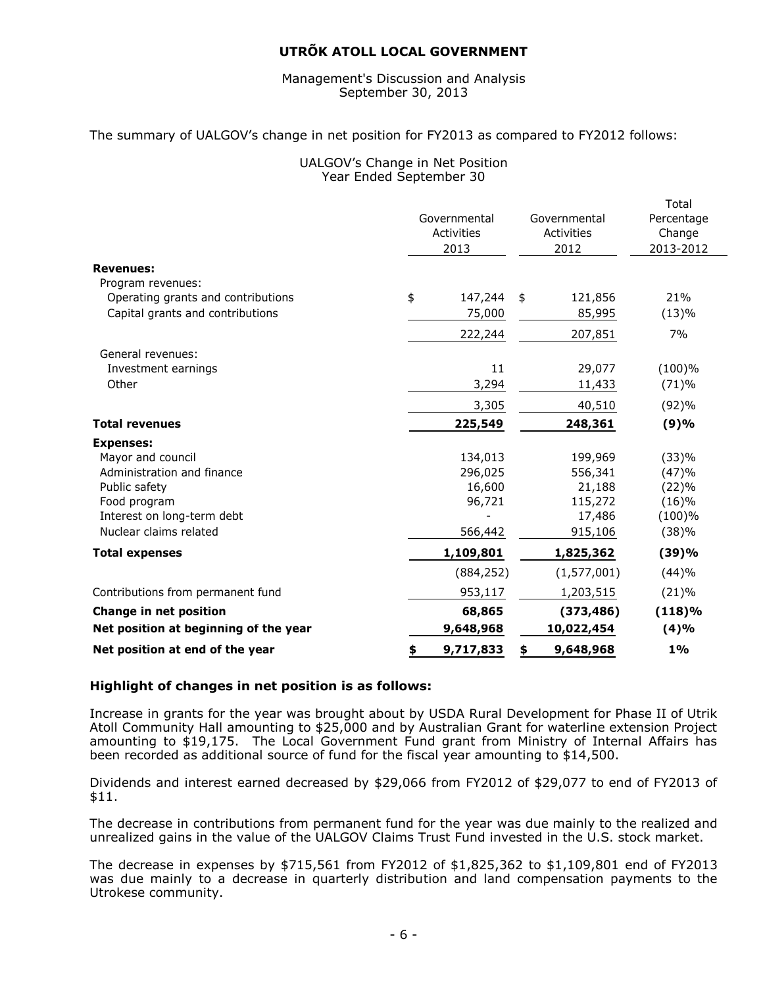#### Management's Discussion and Analysis September 30, 2013

#### The summary of UALGOV's change in net position for FY2013 as compared to FY2012 follows:

# UALGOV's Change in Net Position Year Ended September 30

|                                       |                 |                 | Total      |
|---------------------------------------|-----------------|-----------------|------------|
|                                       | Governmental    | Governmental    | Percentage |
|                                       | Activities      | Activities      | Change     |
|                                       | 2013            | 2012            | 2013-2012  |
| <b>Revenues:</b>                      |                 |                 |            |
| Program revenues:                     |                 |                 |            |
| Operating grants and contributions    | \$<br>147,244   | \$<br>121,856   | 21%        |
| Capital grants and contributions      | 75,000          | 85,995          | (13)%      |
|                                       | 222,244         | 207,851         | 7%         |
| General revenues:                     |                 |                 |            |
| Investment earnings                   | 11              | 29,077          | (100)%     |
| Other                                 | 3,294           | 11,433          | (71)%      |
|                                       | 3,305           | 40,510          | (92)%      |
| <b>Total revenues</b>                 | 225,549         | 248,361         | (9)%       |
| <b>Expenses:</b>                      |                 |                 |            |
| Mayor and council                     | 134,013         | 199,969         | (33)%      |
| Administration and finance            | 296,025         | 556,341         | (47)%      |
| Public safety                         | 16,600          | 21,188          | (22)%      |
| Food program                          | 96,721          | 115,272         | (16)%      |
| Interest on long-term debt            |                 | 17,486          | (100)%     |
| Nuclear claims related                | 566,442         | 915,106         | (38)%      |
| <b>Total expenses</b>                 | 1,109,801       | 1,825,362       | (39)%      |
|                                       | (884, 252)      | (1, 577, 001)   | (44)%      |
| Contributions from permanent fund     | 953,117         | 1,203,515       | (21)%      |
| <b>Change in net position</b>         | 68,865          | (373, 486)      | (118)%     |
| Net position at beginning of the year | 9,648,968       | 10,022,454      | (4)%       |
| Net position at end of the year       | \$<br>9,717,833 | \$<br>9,648,968 | $1\%$      |

# **Highlight of changes in net position is as follows:**

Increase in grants for the year was brought about by USDA Rural Development for Phase II of Utrik Atoll Community Hall amounting to \$25,000 and by Australian Grant for waterline extension Project amounting to \$19,175. The Local Government Fund grant from Ministry of Internal Affairs has been recorded as additional source of fund for the fiscal year amounting to \$14,500.

Dividends and interest earned decreased by \$29,066 from FY2012 of \$29,077 to end of FY2013 of \$11.

The decrease in contributions from permanent fund for the year was due mainly to the realized and unrealized gains in the value of the UALGOV Claims Trust Fund invested in the U.S. stock market.

The decrease in expenses by \$715,561 from FY2012 of \$1,825,362 to \$1,109,801 end of FY2013 was due mainly to a decrease in quarterly distribution and land compensation payments to the Utrokese community.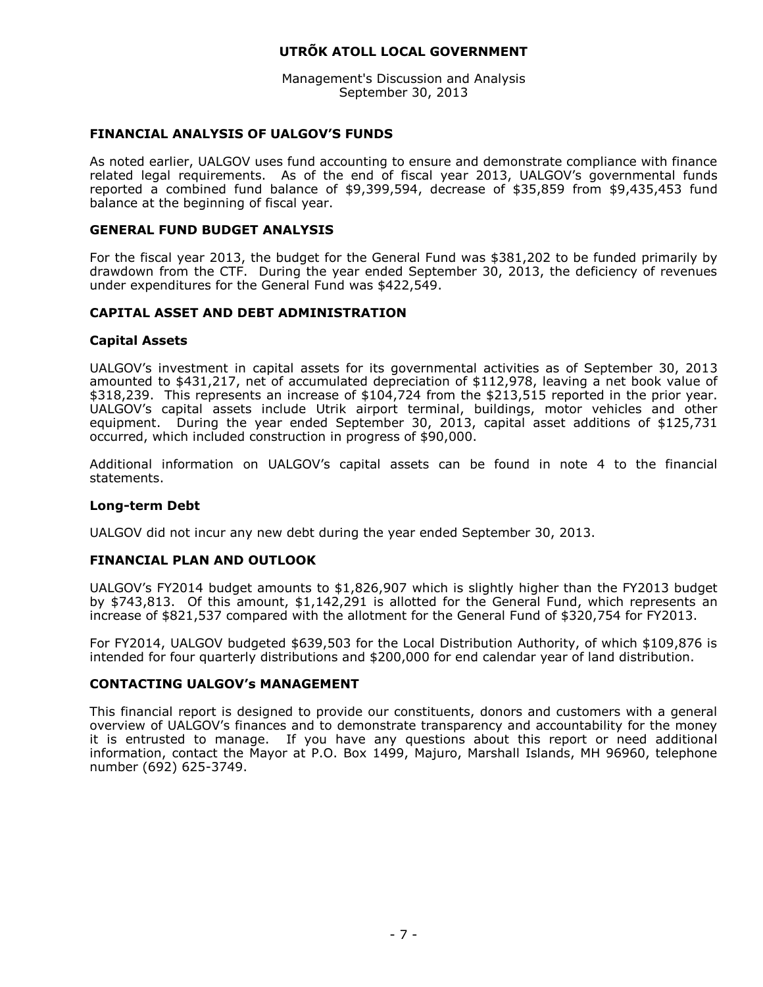Management's Discussion and Analysis September 30, 2013

# **FINANCIAL ANALYSIS OF UALGOV'S FUNDS**

As noted earlier, UALGOV uses fund accounting to ensure and demonstrate compliance with finance related legal requirements. As of the end of fiscal year 2013, UALGOV's governmental funds reported a combined fund balance of \$9,399,594, decrease of \$35,859 from \$9,435,453 fund balance at the beginning of fiscal year.

#### **GENERAL FUND BUDGET ANALYSIS**

For the fiscal year 2013, the budget for the General Fund was \$381,202 to be funded primarily by drawdown from the CTF. During the year ended September 30, 2013, the deficiency of revenues under expenditures for the General Fund was \$422,549.

# **CAPITAL ASSET AND DEBT ADMINISTRATION**

# **Capital Assets**

UALGOV's investment in capital assets for its governmental activities as of September 30, 2013 amounted to \$431,217, net of accumulated depreciation of \$112,978, leaving a net book value of \$318,239. This represents an increase of \$104,724 from the \$213,515 reported in the prior year. UALGOV's capital assets include Utrik airport terminal, buildings, motor vehicles and other equipment. During the year ended September 30, 2013, capital asset additions of \$125,731 occurred, which included construction in progress of \$90,000.

Additional information on UALGOV's capital assets can be found in note 4 to the financial statements.

#### **Long-term Debt**

UALGOV did not incur any new debt during the year ended September 30, 2013.

#### **FINANCIAL PLAN AND OUTLOOK**

UALGOV's FY2014 budget amounts to \$1,826,907 which is slightly higher than the FY2013 budget by \$743,813. Of this amount, \$1,142,291 is allotted for the General Fund, which represents an increase of \$821,537 compared with the allotment for the General Fund of \$320,754 for FY2013.

For FY2014, UALGOV budgeted \$639,503 for the Local Distribution Authority, of which \$109,876 is intended for four quarterly distributions and \$200,000 for end calendar year of land distribution.

#### **CONTACTING UALGOV's MANAGEMENT**

This financial report is designed to provide our constituents, donors and customers with a general overview of UALGOV's finances and to demonstrate transparency and accountability for the money it is entrusted to manage. If you have any questions about this report or need additional information, contact the Mayor at P.O. Box 1499, Majuro, Marshall Islands, MH 96960, telephone number (692) 625-3749.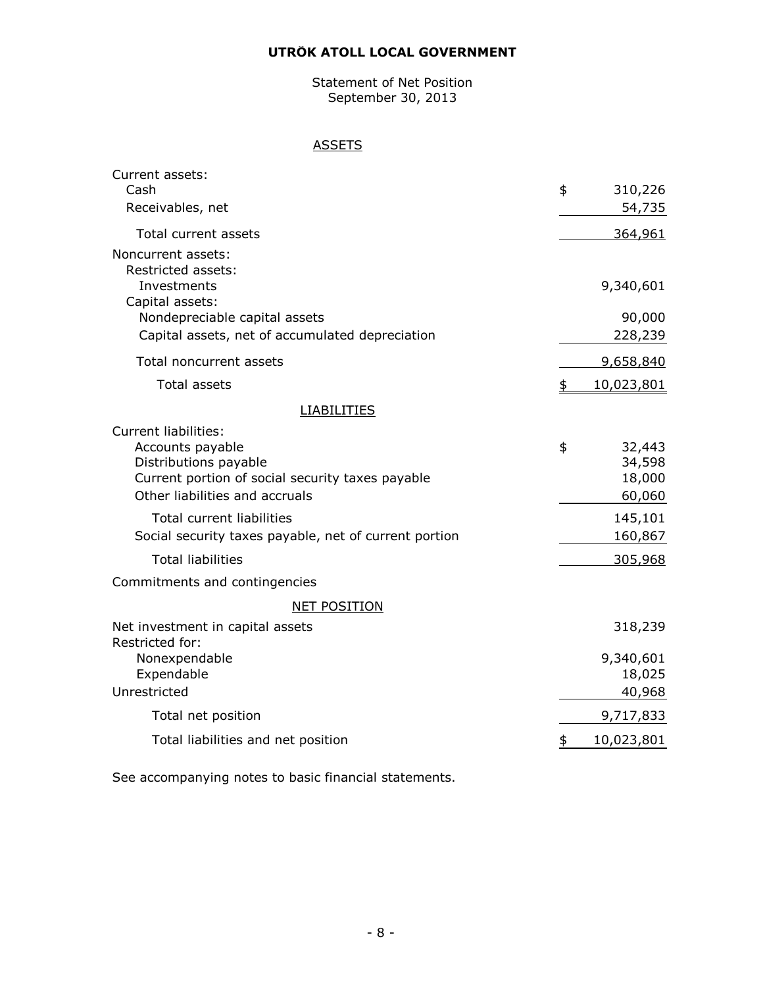Statement of Net Position September 30, 2013

# **ASSETS**

| Current assets:                                                                    |                  |
|------------------------------------------------------------------------------------|------------------|
| Cash                                                                               | \$<br>310,226    |
| Receivables, net                                                                   | 54,735           |
| Total current assets                                                               | 364,961          |
| Noncurrent assets:<br>Restricted assets:                                           |                  |
| Investments<br>Capital assets:                                                     | 9,340,601        |
| Nondepreciable capital assets                                                      | 90,000           |
| Capital assets, net of accumulated depreciation                                    | 228,239          |
| Total noncurrent assets                                                            | 9,658,840        |
| <b>Total assets</b>                                                                | \$<br>10,023,801 |
| <b>LIABILITIES</b>                                                                 |                  |
| <b>Current liabilities:</b>                                                        |                  |
| Accounts payable                                                                   | \$<br>32,443     |
| Distributions payable                                                              | 34,598           |
| Current portion of social security taxes payable<br>Other liabilities and accruals | 18,000           |
|                                                                                    | 60,060           |
| <b>Total current liabilities</b>                                                   | 145,101          |
| Social security taxes payable, net of current portion                              | 160,867          |
| <b>Total liabilities</b>                                                           | 305,968          |
| Commitments and contingencies                                                      |                  |
| <b>NET POSITION</b>                                                                |                  |
| Net investment in capital assets<br>Restricted for:                                | 318,239          |
| Nonexpendable                                                                      | 9,340,601        |
| Expendable                                                                         | 18,025           |
| Unrestricted                                                                       | 40,968           |
| Total net position                                                                 | 9,717,833        |
| Total liabilities and net position                                                 | \$<br>10,023,801 |
|                                                                                    |                  |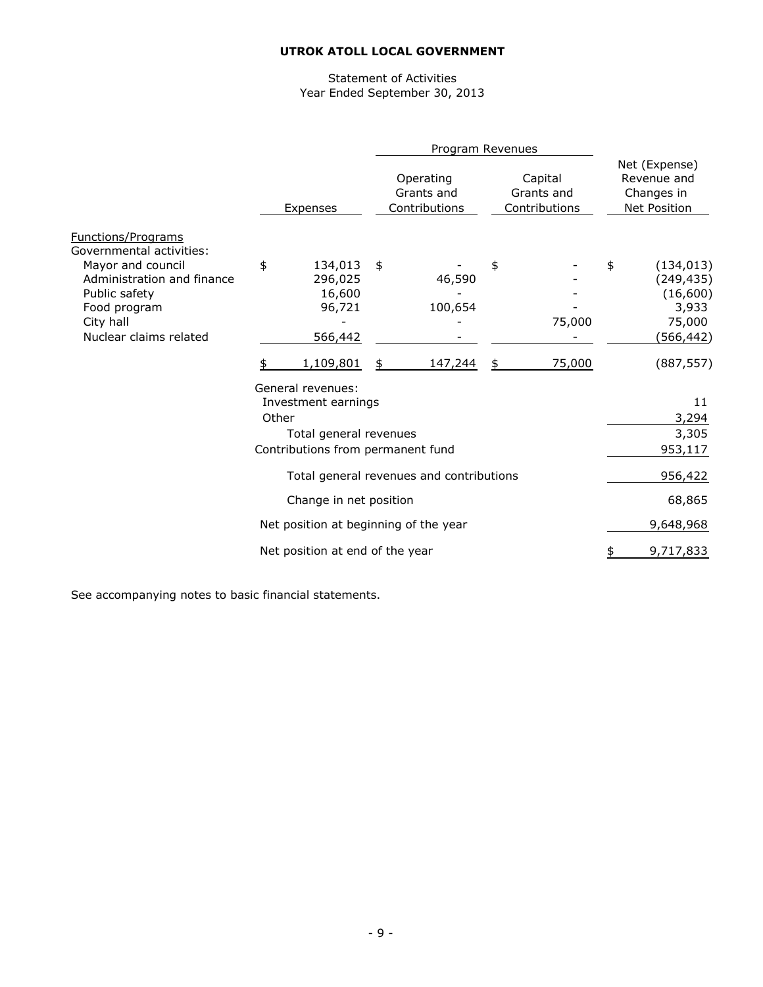# Statement of Activities Year Ended September 30, 2013

|                                                                                                                                                                                  |       |                                                                                                         | Program Revenues                         |                                        |                                                                             |
|----------------------------------------------------------------------------------------------------------------------------------------------------------------------------------|-------|---------------------------------------------------------------------------------------------------------|------------------------------------------|----------------------------------------|-----------------------------------------------------------------------------|
|                                                                                                                                                                                  |       | Expenses                                                                                                | Operating<br>Grants and<br>Contributions | Capital<br>Grants and<br>Contributions | Net (Expense)<br>Revenue and<br>Changes in<br><b>Net Position</b>           |
| <b>Functions/Programs</b><br>Governmental activities:<br>Mayor and council<br>Administration and finance<br>Public safety<br>Food program<br>City hall<br>Nuclear claims related | \$    | 134,013<br>296,025<br>16,600<br>96,721<br>566,442                                                       | \$<br>46,590<br>100,654                  | \$<br>75,000                           | \$<br>(134, 013)<br>(249, 435)<br>(16, 600)<br>3,933<br>75,000<br>(566,442) |
|                                                                                                                                                                                  | \$    | 1,109,801                                                                                               | \$<br>147,244                            | \$<br>75,000                           | (887, 557)                                                                  |
|                                                                                                                                                                                  | Other | General revenues:<br>Investment earnings<br>Total general revenues<br>Contributions from permanent fund |                                          |                                        | 11<br>3,294<br>3,305<br>953,117                                             |
|                                                                                                                                                                                  |       |                                                                                                         | Total general revenues and contributions |                                        | 956,422                                                                     |
|                                                                                                                                                                                  |       | Change in net position                                                                                  |                                          |                                        | 68,865                                                                      |
|                                                                                                                                                                                  |       | Net position at beginning of the year                                                                   |                                          |                                        | 9,648,968                                                                   |
|                                                                                                                                                                                  |       | Net position at end of the year                                                                         |                                          |                                        | 9,717,833                                                                   |
|                                                                                                                                                                                  |       |                                                                                                         |                                          |                                        |                                                                             |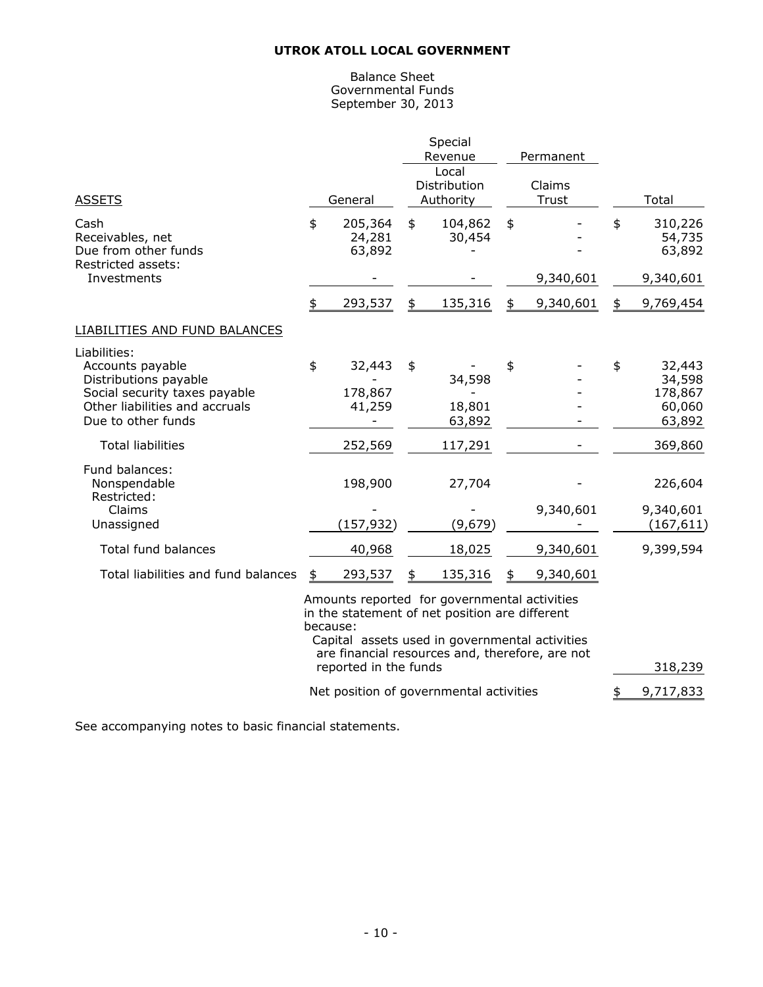#### Balance Sheet Governmental Funds September 30, 2013

| <b>ASSETS</b>                                                                                                                                      | General                           | Special<br>Revenue<br>Local<br>Distribution<br>Authority | Permanent<br>Claims<br>Trust | Total                                                 |
|----------------------------------------------------------------------------------------------------------------------------------------------------|-----------------------------------|----------------------------------------------------------|------------------------------|-------------------------------------------------------|
| Cash<br>Receivables, net<br>Due from other funds<br>Restricted assets:                                                                             | \$<br>205,364<br>24,281<br>63,892 | \$<br>104,862<br>30,454                                  | \$                           | \$<br>310,226<br>54,735<br>63,892                     |
| Investments                                                                                                                                        |                                   |                                                          | 9,340,601                    | 9,340,601                                             |
|                                                                                                                                                    | \$<br>293,537                     | \$<br>135,316                                            | \$<br>9,340,601              | \$<br>9,769,454                                       |
| LIABILITIES AND FUND BALANCES                                                                                                                      |                                   |                                                          |                              |                                                       |
| Liabilities:<br>Accounts payable<br>Distributions payable<br>Social security taxes payable<br>Other liabilities and accruals<br>Due to other funds | \$<br>32,443<br>178,867<br>41,259 | \$<br>34,598<br>18,801<br>63,892                         | \$                           | \$<br>32,443<br>34,598<br>178,867<br>60,060<br>63,892 |
| <b>Total liabilities</b>                                                                                                                           | 252,569                           | 117,291                                                  |                              | 369,860                                               |
| Fund balances:<br>Nonspendable<br>Restricted:<br>Claims                                                                                            | 198,900                           | 27,704                                                   | 9,340,601                    | 226,604<br>9,340,601                                  |
| Unassigned                                                                                                                                         | (157, 932)                        | (9,679)                                                  |                              | (167, 611)                                            |
| Total fund balances                                                                                                                                | 40,968                            | 18,025                                                   | 9,340,601                    | 9,399,594                                             |
| Total liabilities and fund balances                                                                                                                | \$<br>293,537                     | \$<br>135,316                                            | 9,340,601                    |                                                       |

Amounts reported for governmental activities in the statement of net position are different because: Capital assets used in governmental activities are financial resources and, therefore, are not reported in the funds 318,239

Net position of governmental activities  $\frac{1}{2}$  9,717,833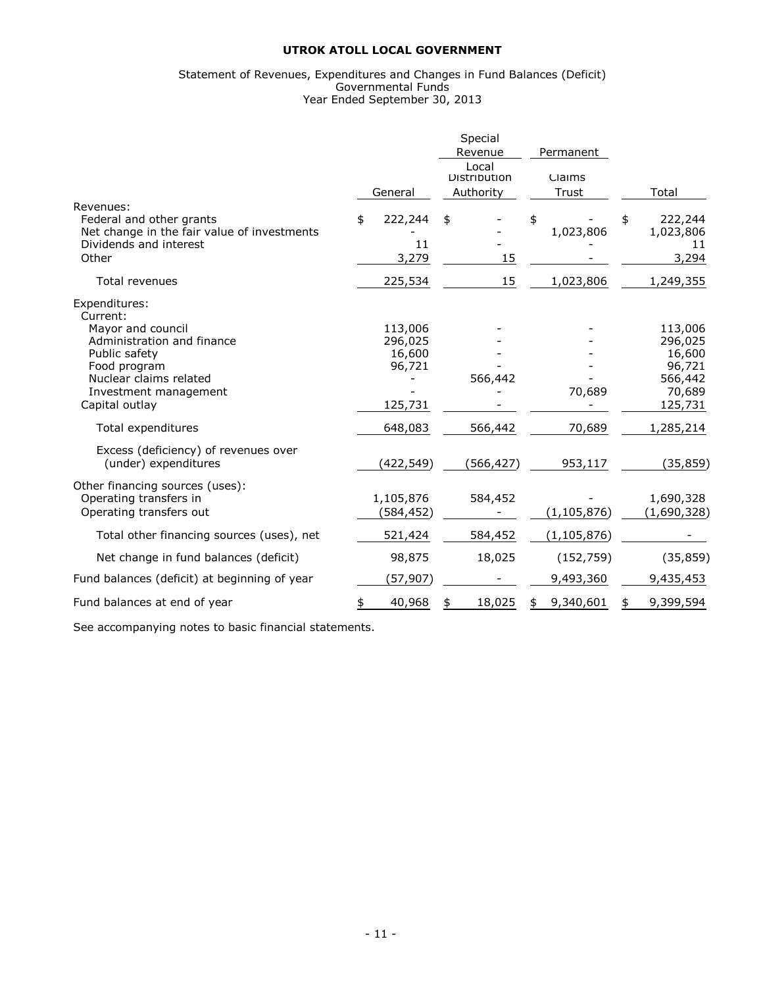#### Statement of Revenues, Expenditures and Changes in Fund Balances (Deficit) Governmental Funds Year Ended September 30, 2013

|                                                                                                                         |                                        | Special<br>Revenue                 | Permanent       |                                                   |
|-------------------------------------------------------------------------------------------------------------------------|----------------------------------------|------------------------------------|-----------------|---------------------------------------------------|
|                                                                                                                         | General                                | Local<br>Distribution<br>Authority | Claims<br>Trust | Total                                             |
| Revenues:<br>Federal and other grants<br>Net change in the fair value of investments<br>Dividends and interest<br>Other | \$<br>222,244<br>11<br>3,279           | \$<br>15                           | \$<br>1,023,806 | 222,244<br>\$<br>1,023,806<br>11<br>3,294         |
| <b>Total revenues</b>                                                                                                   | 225,534                                | 15                                 | 1,023,806       | 1,249,355                                         |
| Expenditures:<br>Current:                                                                                               |                                        |                                    |                 |                                                   |
| Mayor and council<br>Administration and finance<br>Public safety<br>Food program<br>Nuclear claims related              | 113,006<br>296,025<br>16,600<br>96,721 | 566,442                            |                 | 113,006<br>296,025<br>16,600<br>96,721<br>566,442 |
| Investment management<br>Capital outlay                                                                                 | 125,731                                |                                    | 70,689          | 70,689<br>125,731                                 |
| Total expenditures                                                                                                      | 648,083                                | 566,442                            | 70,689          | 1,285,214                                         |
| Excess (deficiency) of revenues over<br>(under) expenditures                                                            | (422, 549)                             | (566,427)                          | 953,117         | (35, 859)                                         |
| Other financing sources (uses):<br>Operating transfers in<br>Operating transfers out                                    | 1,105,876<br>(584,452)                 | 584,452                            | (1, 105, 876)   | 1,690,328<br>(1,690,328)                          |
| Total other financing sources (uses), net                                                                               | 521,424                                | 584,452                            | (1, 105, 876)   |                                                   |
| Net change in fund balances (deficit)                                                                                   | 98,875                                 | 18,025                             | (152, 759)      | (35, 859)                                         |
| Fund balances (deficit) at beginning of year                                                                            | (57, 907)                              |                                    | 9,493,360       | 9,435,453                                         |
| Fund balances at end of year                                                                                            | 40,968<br>\$                           | 18,025<br>\$                       | 9,340,601<br>\$ | 9,399,594                                         |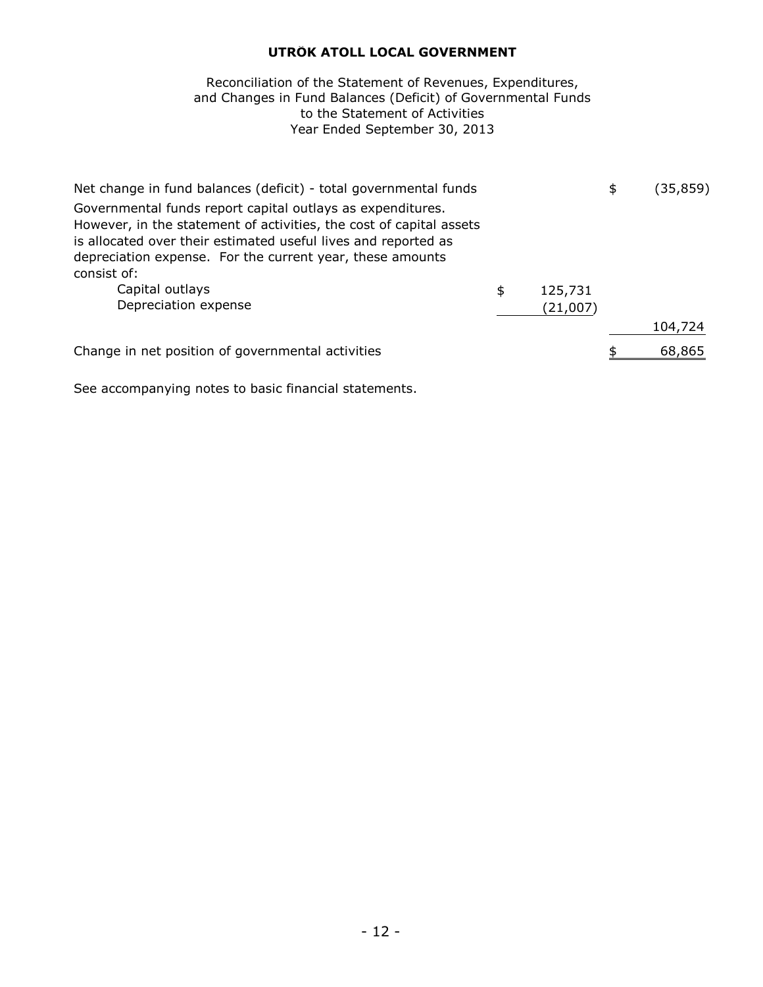# to the Statement of Activities Year Ended September 30, 2013 Reconciliation of the Statement of Revenues, Expenditures, and Changes in Fund Balances (Deficit) of Governmental Funds

| Net change in fund balances (deficit) - total governmental funds                                                                                                                                                                                                 |               | \$<br>(35,859) |
|------------------------------------------------------------------------------------------------------------------------------------------------------------------------------------------------------------------------------------------------------------------|---------------|----------------|
| Governmental funds report capital outlays as expenditures.<br>However, in the statement of activities, the cost of capital assets<br>is allocated over their estimated useful lives and reported as<br>depreciation expense. For the current year, these amounts |               |                |
| consist of:                                                                                                                                                                                                                                                      |               |                |
| Capital outlays                                                                                                                                                                                                                                                  | \$<br>125,731 |                |
| Depreciation expense                                                                                                                                                                                                                                             | (21,007)      |                |
|                                                                                                                                                                                                                                                                  |               | 104,724        |
| Change in net position of governmental activities                                                                                                                                                                                                                |               | 68,865         |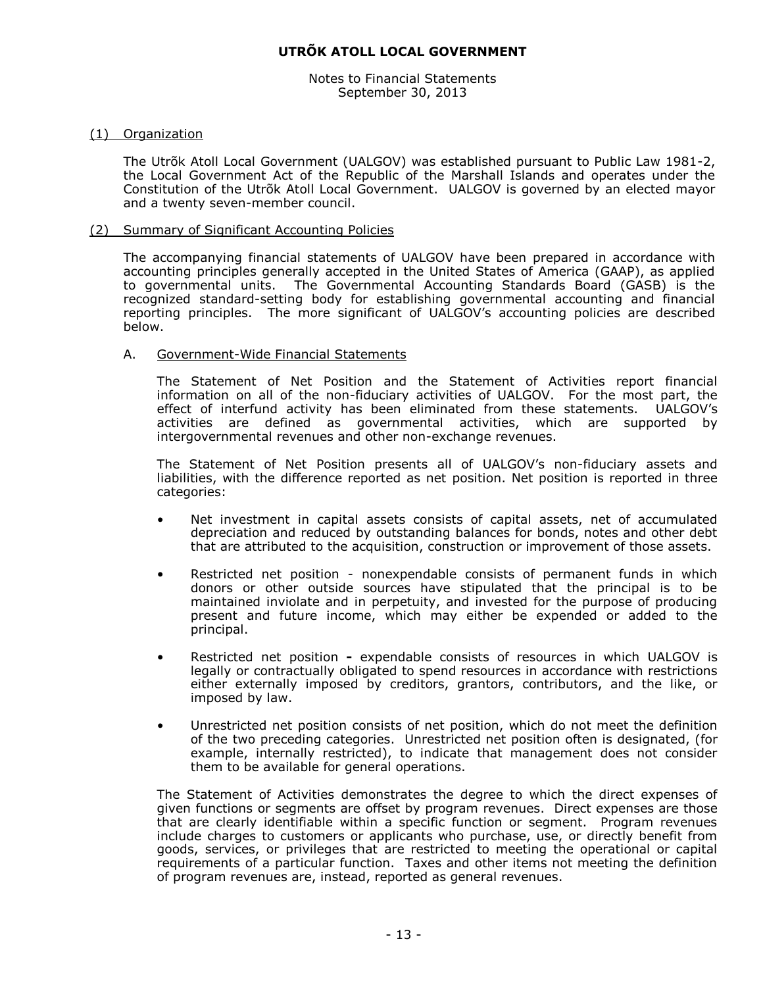Notes to Financial Statements September 30, 2013

#### (1) Organization

The Utrõk Atoll Local Government (UALGOV) was established pursuant to Public Law 1981-2, the Local Government Act of the Republic of the Marshall Islands and operates under the Constitution of the Utrõk Atoll Local Government. UALGOV is governed by an elected mayor and a twenty seven-member council.

#### (2) Summary of Significant Accounting Policies

The accompanying financial statements of UALGOV have been prepared in accordance with accounting principles generally accepted in the United States of America (GAAP), as applied to governmental units. The Governmental Accounting Standards Board (GASB) is the recognized standard-setting body for establishing governmental accounting and financial reporting principles. The more significant of UALGOV's accounting policies are described below.

# A. Government-Wide Financial Statements

The Statement of Net Position and the Statement of Activities report financial information on all of the non-fiduciary activities of UALGOV. For the most part, the effect of interfund activity has been eliminated from these statements. UALGOV's activities are defined as governmental activities, which are supported by intergovernmental revenues and other non-exchange revenues.

The Statement of Net Position presents all of UALGOV's non-fiduciary assets and liabilities, with the difference reported as net position. Net position is reported in three categories:

- Net investment in capital assets consists of capital assets, net of accumulated depreciation and reduced by outstanding balances for bonds, notes and other debt that are attributed to the acquisition, construction or improvement of those assets.
- Restricted net position nonexpendable consists of permanent funds in which donors or other outside sources have stipulated that the principal is to be maintained inviolate and in perpetuity, and invested for the purpose of producing present and future income, which may either be expended or added to the principal.
- Restricted net position **-** expendable consists of resources in which UALGOV is legally or contractually obligated to spend resources in accordance with restrictions either externally imposed by creditors, grantors, contributors, and the like, or imposed by law.
- Unrestricted net position consists of net position, which do not meet the definition of the two preceding categories. Unrestricted net position often is designated, (for example, internally restricted), to indicate that management does not consider them to be available for general operations.

The Statement of Activities demonstrates the degree to which the direct expenses of given functions or segments are offset by program revenues. Direct expenses are those that are clearly identifiable within a specific function or segment. Program revenues include charges to customers or applicants who purchase, use, or directly benefit from goods, services, or privileges that are restricted to meeting the operational or capital requirements of a particular function. Taxes and other items not meeting the definition of program revenues are, instead, reported as general revenues.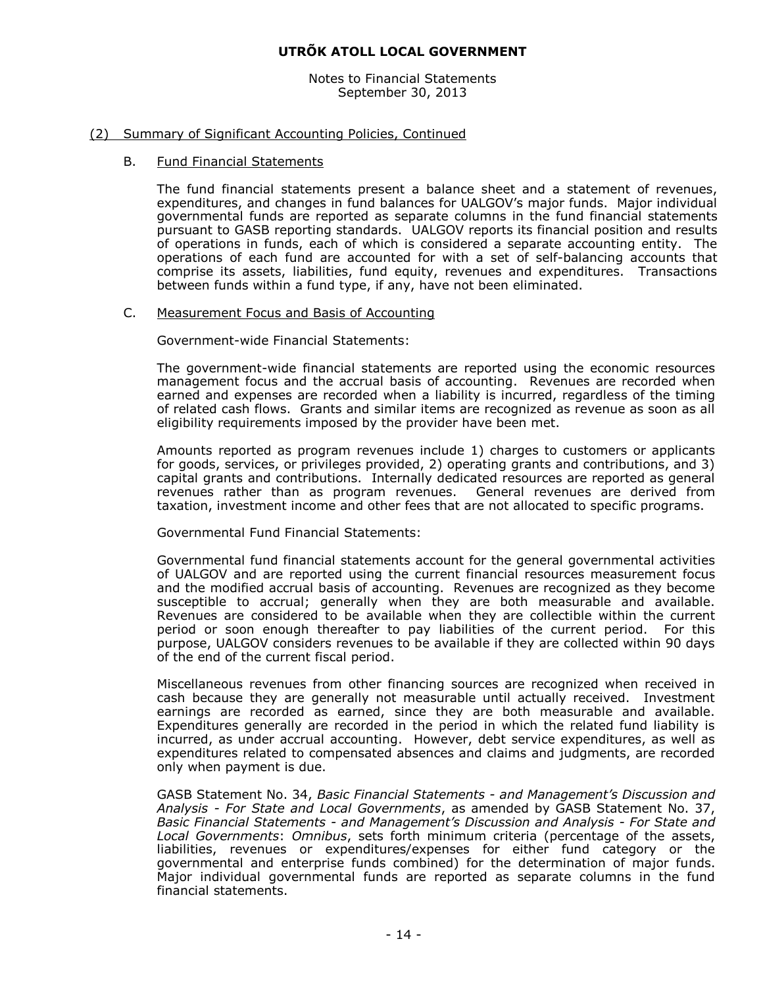Notes to Financial Statements September 30, 2013

#### (2) Summary of Significant Accounting Policies, Continued

#### B. Fund Financial Statements

The fund financial statements present a balance sheet and a statement of revenues, expenditures, and changes in fund balances for UALGOV's major funds. Major individual governmental funds are reported as separate columns in the fund financial statements pursuant to GASB reporting standards. UALGOV reports its financial position and results of operations in funds, each of which is considered a separate accounting entity. The operations of each fund are accounted for with a set of self-balancing accounts that comprise its assets, liabilities, fund equity, revenues and expenditures. Transactions between funds within a fund type, if any, have not been eliminated.

#### C. Measurement Focus and Basis of Accounting

Government-wide Financial Statements:

The government-wide financial statements are reported using the economic resources management focus and the accrual basis of accounting. Revenues are recorded when earned and expenses are recorded when a liability is incurred, regardless of the timing of related cash flows. Grants and similar items are recognized as revenue as soon as all eligibility requirements imposed by the provider have been met.

Amounts reported as program revenues include 1) charges to customers or applicants for goods, services, or privileges provided, 2) operating grants and contributions, and 3) capital grants and contributions. Internally dedicated resources are reported as general revenues rather than as program revenues. General revenues are derived from taxation, investment income and other fees that are not allocated to specific programs.

Governmental Fund Financial Statements:

Governmental fund financial statements account for the general governmental activities of UALGOV and are reported using the current financial resources measurement focus and the modified accrual basis of accounting. Revenues are recognized as they become susceptible to accrual; generally when they are both measurable and available. Revenues are considered to be available when they are collectible within the current period or soon enough thereafter to pay liabilities of the current period. For this purpose, UALGOV considers revenues to be available if they are collected within 90 days of the end of the current fiscal period.

Miscellaneous revenues from other financing sources are recognized when received in cash because they are generally not measurable until actually received. Investment earnings are recorded as earned, since they are both measurable and available. Expenditures generally are recorded in the period in which the related fund liability is incurred, as under accrual accounting. However, debt service expenditures, as well as expenditures related to compensated absences and claims and judgments, are recorded only when payment is due.

GASB Statement No. 34, *Basic Financial Statements - and Management's Discussion and Analysis - For State and Local Governments*, as amended by GASB Statement No. 37, *Basic Financial Statements - and Management's Discussion and Analysis - For State and Local Governments*: *Omnibus*, sets forth minimum criteria (percentage of the assets, liabilities, revenues or expenditures/expenses for either fund category or the governmental and enterprise funds combined) for the determination of major funds. Major individual governmental funds are reported as separate columns in the fund financial statements.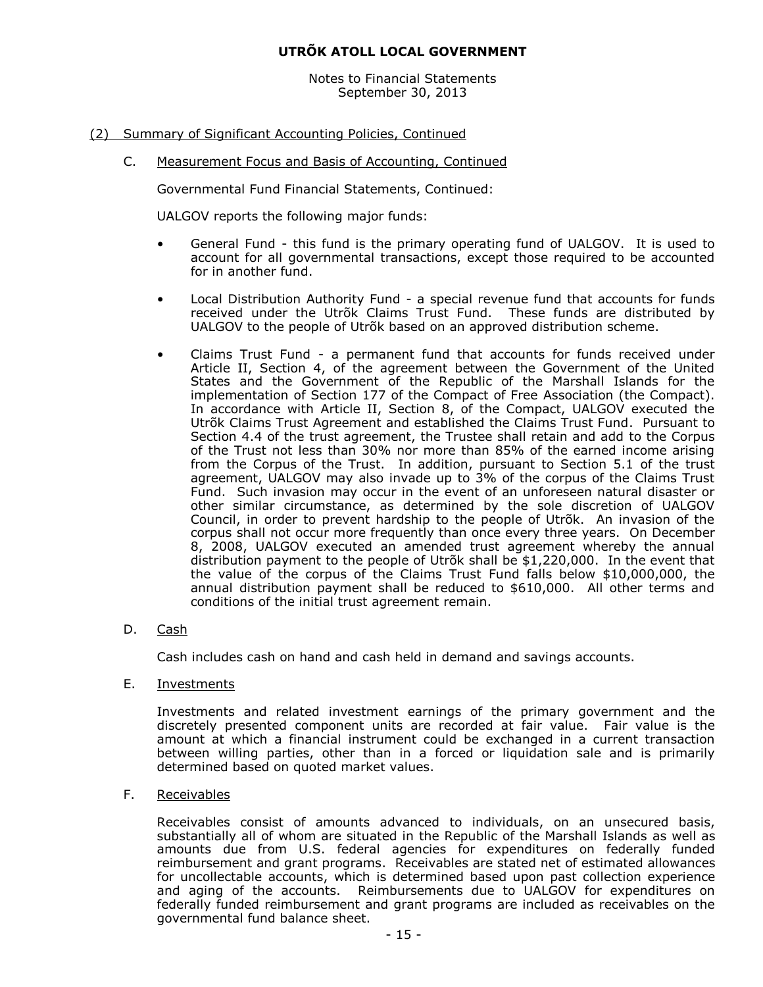Notes to Financial Statements September 30, 2013

# (2) Summary of Significant Accounting Policies, Continued

C. Measurement Focus and Basis of Accounting, Continued

Governmental Fund Financial Statements, Continued:

UALGOV reports the following major funds:

- General Fund this fund is the primary operating fund of UALGOV. It is used to account for all governmental transactions, except those required to be accounted for in another fund.
- Local Distribution Authority Fund a special revenue fund that accounts for funds received under the Utrõk Claims Trust Fund. These funds are distributed by UALGOV to the people of Utrõk based on an approved distribution scheme.
- Claims Trust Fund a permanent fund that accounts for funds received under Article II, Section 4, of the agreement between the Government of the United States and the Government of the Republic of the Marshall Islands for the implementation of Section 177 of the Compact of Free Association (the Compact). In accordance with Article II, Section 8, of the Compact, UALGOV executed the Utrõk Claims Trust Agreement and established the Claims Trust Fund. Pursuant to Section 4.4 of the trust agreement, the Trustee shall retain and add to the Corpus of the Trust not less than 30% nor more than 85% of the earned income arising from the Corpus of the Trust. In addition, pursuant to Section 5.1 of the trust agreement, UALGOV may also invade up to 3% of the corpus of the Claims Trust Fund. Such invasion may occur in the event of an unforeseen natural disaster or other similar circumstance, as determined by the sole discretion of UALGOV Council, in order to prevent hardship to the people of Utrõk. An invasion of the corpus shall not occur more frequently than once every three years. On December 8, 2008, UALGOV executed an amended trust agreement whereby the annual distribution payment to the people of Utrõk shall be \$1,220,000. In the event that the value of the corpus of the Claims Trust Fund falls below \$10,000,000, the annual distribution payment shall be reduced to \$610,000. All other terms and conditions of the initial trust agreement remain.
- D. Cash

Cash includes cash on hand and cash held in demand and savings accounts.

E. Investments

Investments and related investment earnings of the primary government and the discretely presented component units are recorded at fair value. Fair value is the amount at which a financial instrument could be exchanged in a current transaction between willing parties, other than in a forced or liquidation sale and is primarily determined based on quoted market values.

F. Receivables

Receivables consist of amounts advanced to individuals, on an unsecured basis, substantially all of whom are situated in the Republic of the Marshall Islands as well as amounts due from U.S. federal agencies for expenditures on federally funded reimbursement and grant programs. Receivables are stated net of estimated allowances for uncollectable accounts, which is determined based upon past collection experience and aging of the accounts. Reimbursements due to UALGOV for expenditures on federally funded reimbursement and grant programs are included as receivables on the governmental fund balance sheet.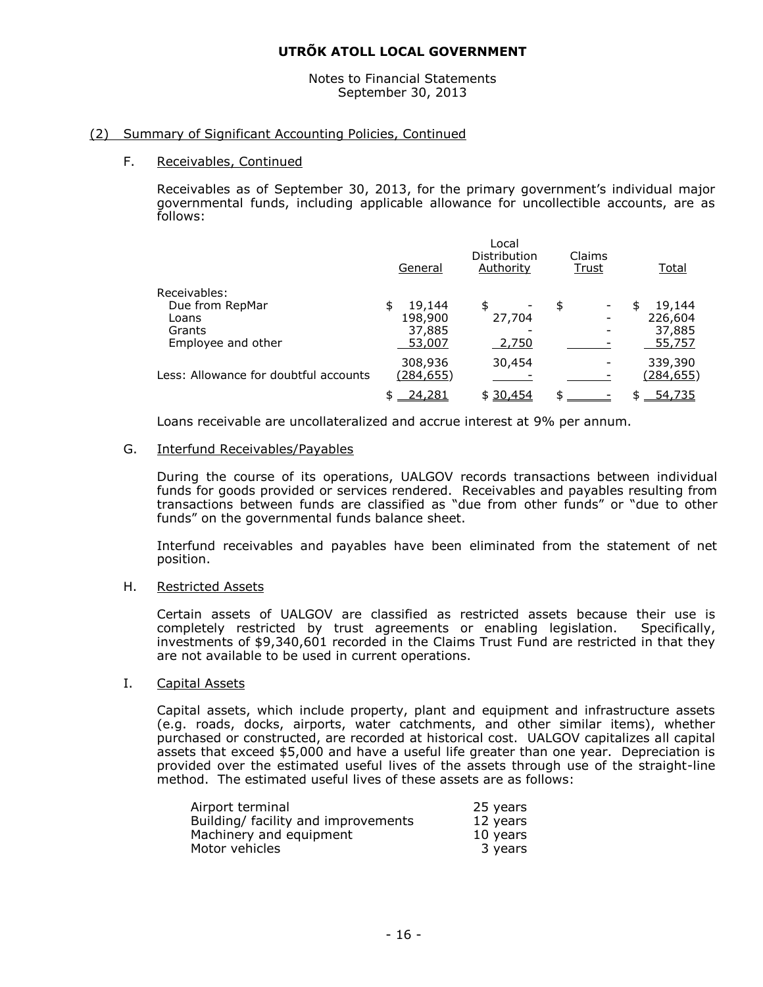Notes to Financial Statements September 30, 2013

#### (2) Summary of Significant Accounting Policies, Continued

#### F. Receivables, Continued

Receivables as of September 30, 2013, for the primary government's individual major governmental funds, including applicable allowance for uncollectible accounts, are as follows:

|                                       | General          | Local<br>Distribution<br>Authority | Claims<br>Trust | <u>Total</u> |
|---------------------------------------|------------------|------------------------------------|-----------------|--------------|
| Receivables:                          |                  |                                    |                 |              |
| Due from RepMar                       | 19,144<br>\$     | \$                                 | \$              | 19,144<br>S  |
| Loans                                 | 198,900          | 27,704                             |                 | 226,604      |
| Grants                                | 37,885           |                                    |                 | 37,885       |
| Employee and other                    | 53,007           | 2,750                              |                 | 55,757       |
|                                       | 308,936          | 30,454                             |                 | 339,390      |
| Less: Allowance for doubtful accounts | <u>(284,655)</u> |                                    |                 | (284, 655)   |
|                                       | 24,281           | \$30,454                           | ፍ               | 54,735       |
|                                       |                  |                                    |                 |              |

Loans receivable are uncollateralized and accrue interest at 9% per annum.

#### G. Interfund Receivables/Payables

During the course of its operations, UALGOV records transactions between individual funds for goods provided or services rendered. Receivables and payables resulting from transactions between funds are classified as "due from other funds" or "due to other funds" on the governmental funds balance sheet.

Interfund receivables and payables have been eliminated from the statement of net position.

#### H. Restricted Assets

Certain assets of UALGOV are classified as restricted assets because their use is completely restricted by trust agreements or enabling legislation. Specifically, investments of \$9,340,601 recorded in the Claims Trust Fund are restricted in that they are not available to be used in current operations.

#### I. Capital Assets

Capital assets, which include property, plant and equipment and infrastructure assets (e.g. roads, docks, airports, water catchments, and other similar items), whether purchased or constructed, are recorded at historical cost. UALGOV capitalizes all capital assets that exceed \$5,000 and have a useful life greater than one year. Depreciation is provided over the estimated useful lives of the assets through use of the straight-line method. The estimated useful lives of these assets are as follows:

| Airport terminal                    | 25 years |
|-------------------------------------|----------|
| Building/ facility and improvements | 12 years |
| Machinery and equipment             | 10 years |
| Motor vehicles                      | 3 years  |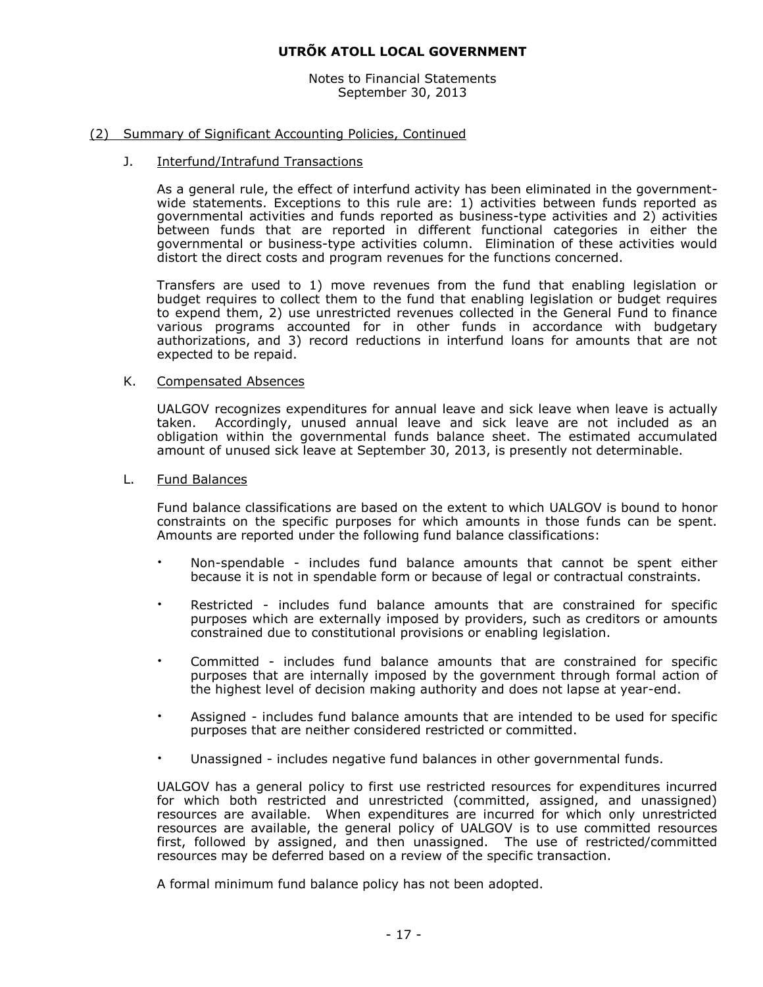Notes to Financial Statements September 30, 2013

#### (2) Summary of Significant Accounting Policies, Continued

#### J. Interfund/Intrafund Transactions

As a general rule, the effect of interfund activity has been eliminated in the governmentwide statements. Exceptions to this rule are: 1) activities between funds reported as governmental activities and funds reported as business-type activities and 2) activities between funds that are reported in different functional categories in either the governmental or business-type activities column. Elimination of these activities would distort the direct costs and program revenues for the functions concerned.

Transfers are used to 1) move revenues from the fund that enabling legislation or budget requires to collect them to the fund that enabling legislation or budget requires to expend them, 2) use unrestricted revenues collected in the General Fund to finance various programs accounted for in other funds in accordance with budgetary authorizations, and 3) record reductions in interfund loans for amounts that are not expected to be repaid.

#### K. Compensated Absences

UALGOV recognizes expenditures for annual leave and sick leave when leave is actually taken. Accordingly, unused annual leave and sick leave are not included as an obligation within the governmental funds balance sheet. The estimated accumulated amount of unused sick leave at September 30, 2013, is presently not determinable.

# L. Fund Balances

Fund balance classifications are based on the extent to which UALGOV is bound to honor constraints on the specific purposes for which amounts in those funds can be spent. Amounts are reported under the following fund balance classifications:

- Non-spendable includes fund balance amounts that cannot be spent either because it is not in spendable form or because of legal or contractual constraints.
- Restricted includes fund balance amounts that are constrained for specific purposes which are externally imposed by providers, such as creditors or amounts constrained due to constitutional provisions or enabling legislation.
- Committed includes fund balance amounts that are constrained for specific purposes that are internally imposed by the government through formal action of the highest level of decision making authority and does not lapse at year-end.
- Assigned includes fund balance amounts that are intended to be used for specific purposes that are neither considered restricted or committed.
- Unassigned includes negative fund balances in other governmental funds.

UALGOV has a general policy to first use restricted resources for expenditures incurred for which both restricted and unrestricted (committed, assigned, and unassigned) resources are available. When expenditures are incurred for which only unrestricted resources are available, the general policy of UALGOV is to use committed resources first, followed by assigned, and then unassigned. The use of restricted/committed resources may be deferred based on a review of the specific transaction.

A formal minimum fund balance policy has not been adopted.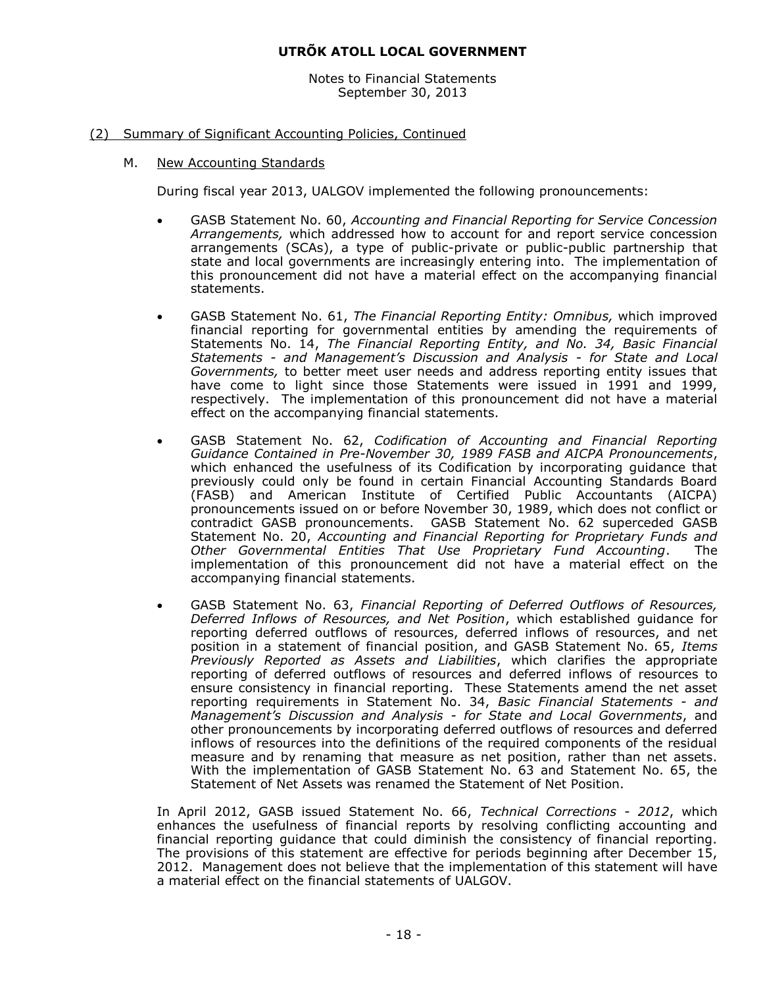Notes to Financial Statements September 30, 2013

# (2) Summary of Significant Accounting Policies, Continued

M. New Accounting Standards

During fiscal year 2013, UALGOV implemented the following pronouncements:

- GASB Statement No. 60, *Accounting and Financial Reporting for Service Concession Arrangements,* which addressed how to account for and report service concession arrangements (SCAs), a type of public-private or public-public partnership that state and local governments are increasingly entering into. The implementation of this pronouncement did not have a material effect on the accompanying financial statements.
- GASB Statement No. 61, *The Financial Reporting Entity: Omnibus,* which improved financial reporting for governmental entities by amending the requirements of Statements No. 14, *The Financial Reporting Entity, and No. 34, Basic Financial Statements - and Management's Discussion and Analysis - for State and Local Governments,* to better meet user needs and address reporting entity issues that have come to light since those Statements were issued in 1991 and 1999, respectively. The implementation of this pronouncement did not have a material effect on the accompanying financial statements.
- GASB Statement No. 62, *Codification of Accounting and Financial Reporting Guidance Contained in Pre-November 30, 1989 FASB and AICPA Pronouncements*, which enhanced the usefulness of its Codification by incorporating guidance that previously could only be found in certain Financial Accounting Standards Board (FASB) and American Institute of Certified Public Accountants (AICPA) pronouncements issued on or before November 30, 1989, which does not conflict or contradict GASB pronouncements. GASB Statement No. 62 superceded GASB Statement No. 20, *Accounting and Financial Reporting for Proprietary Funds and Other Governmental Entities That Use Proprietary Fund Accounting*. The implementation of this pronouncement did not have a material effect on the accompanying financial statements.
- GASB Statement No. 63, *Financial Reporting of Deferred Outflows of Resources, Deferred Inflows of Resources, and Net Position*, which established guidance for reporting deferred outflows of resources, deferred inflows of resources, and net position in a statement of financial position, and GASB Statement No. 65, *Items Previously Reported as Assets and Liabilities*, which clarifies the appropriate reporting of deferred outflows of resources and deferred inflows of resources to ensure consistency in financial reporting. These Statements amend the net asset reporting requirements in Statement No. 34, *Basic Financial Statements - and Management's Discussion and Analysis - for State and Local Governments*, and other pronouncements by incorporating deferred outflows of resources and deferred inflows of resources into the definitions of the required components of the residual measure and by renaming that measure as net position, rather than net assets. With the implementation of GASB Statement No. 63 and Statement No. 65, the Statement of Net Assets was renamed the Statement of Net Position.

In April 2012, GASB issued Statement No. 66, *Technical Corrections - 2012*, which enhances the usefulness of financial reports by resolving conflicting accounting and financial reporting guidance that could diminish the consistency of financial reporting. The provisions of this statement are effective for periods beginning after December 15, 2012. Management does not believe that the implementation of this statement will have a material effect on the financial statements of UALGOV.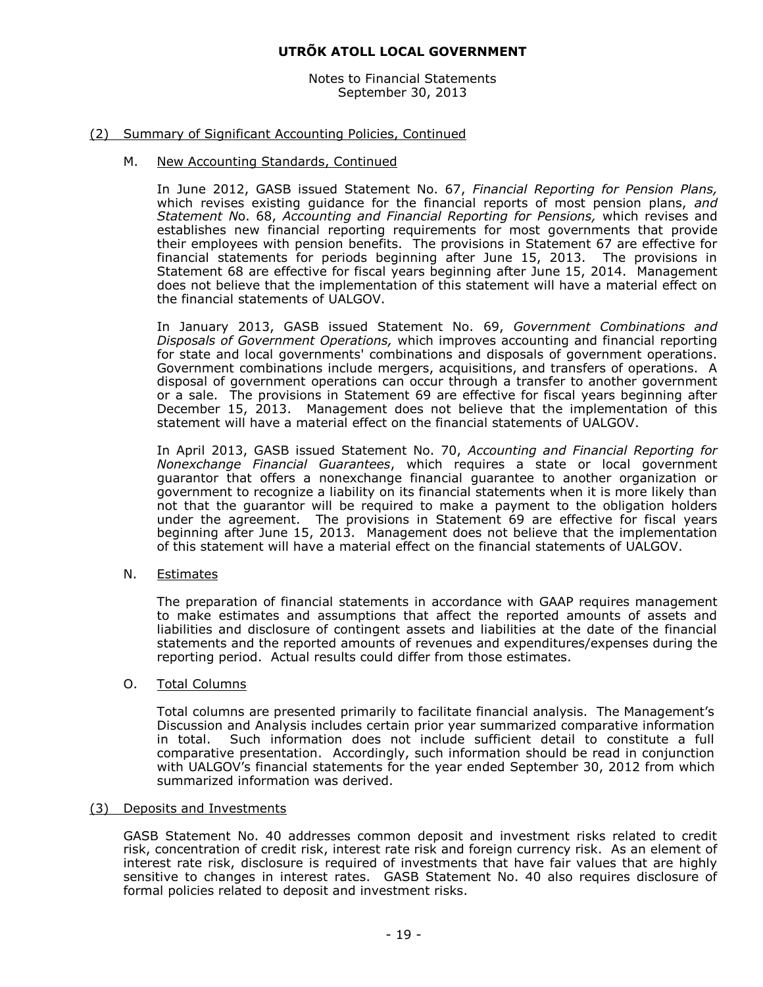Notes to Financial Statements September 30, 2013

# (2) Summary of Significant Accounting Policies, Continued

#### M. New Accounting Standards, Continued

In June 2012, GASB issued Statement No. 67, *Financial Reporting for Pension Plans,*  which revises existing guidance for the financial reports of most pension plans, *and Statement N*o. 68, *Accounting and Financial Reporting for Pensions,* which revises and establishes new financial reporting requirements for most governments that provide their employees with pension benefits. The provisions in Statement 67 are effective for financial statements for periods beginning after June 15, 2013. The provisions in Statement 68 are effective for fiscal years beginning after June 15, 2014. Management does not believe that the implementation of this statement will have a material effect on the financial statements of UALGOV.

In January 2013, GASB issued Statement No. 69, *Government Combinations and Disposals of Government Operations,* which improves accounting and financial reporting for state and local governments' combinations and disposals of government operations. Government combinations include mergers, acquisitions, and transfers of operations. A disposal of government operations can occur through a transfer to another government or a sale. The provisions in Statement 69 are effective for fiscal years beginning after December 15, 2013. Management does not believe that the implementation of this statement will have a material effect on the financial statements of UALGOV.

In April 2013, GASB issued Statement No. 70, *Accounting and Financial Reporting for Nonexchange Financial Guarantees*, which requires a state or local government guarantor that offers a nonexchange financial guarantee to another organization or government to recognize a liability on its financial statements when it is more likely than not that the guarantor will be required to make a payment to the obligation holders under the agreement. The provisions in Statement 69 are effective for fiscal years beginning after June 15, 2013. Management does not believe that the implementation of this statement will have a material effect on the financial statements of UALGOV.

#### N. Estimates

The preparation of financial statements in accordance with GAAP requires management to make estimates and assumptions that affect the reported amounts of assets and liabilities and disclosure of contingent assets and liabilities at the date of the financial statements and the reported amounts of revenues and expenditures/expenses during the reporting period. Actual results could differ from those estimates.

#### O. Total Columns

Total columns are presented primarily to facilitate financial analysis. The Management's Discussion and Analysis includes certain prior year summarized comparative information in total. Such information does not include sufficient detail to constitute a full comparative presentation. Accordingly, such information should be read in conjunction with UALGOV's financial statements for the year ended September 30, 2012 from which summarized information was derived.

#### (3) Deposits and Investments

GASB Statement No. 40 addresses common deposit and investment risks related to credit risk, concentration of credit risk, interest rate risk and foreign currency risk. As an element of interest rate risk, disclosure is required of investments that have fair values that are highly sensitive to changes in interest rates. GASB Statement No. 40 also requires disclosure of formal policies related to deposit and investment risks.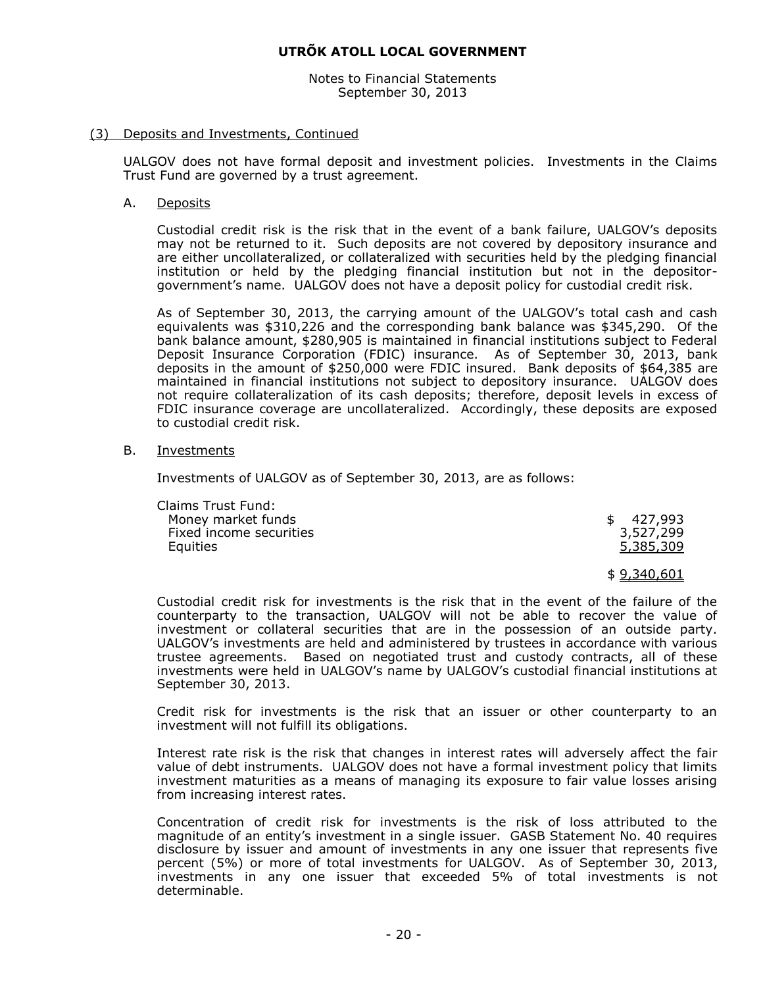Notes to Financial Statements September 30, 2013

#### (3) Deposits and Investments, Continued

UALGOV does not have formal deposit and investment policies. Investments in the Claims Trust Fund are governed by a trust agreement.

#### A. Deposits

Custodial credit risk is the risk that in the event of a bank failure, UALGOV's deposits may not be returned to it. Such deposits are not covered by depository insurance and are either uncollateralized, or collateralized with securities held by the pledging financial institution or held by the pledging financial institution but not in the depositorgovernment's name. UALGOV does not have a deposit policy for custodial credit risk.

As of September 30, 2013, the carrying amount of the UALGOV's total cash and cash equivalents was \$310,226 and the corresponding bank balance was \$345,290. Of the bank balance amount, \$280,905 is maintained in financial institutions subject to Federal Deposit Insurance Corporation (FDIC) insurance. As of September 30, 2013, bank deposits in the amount of \$250,000 were FDIC insured. Bank deposits of \$64,385 are maintained in financial institutions not subject to depository insurance. UALGOV does not require collateralization of its cash deposits; therefore, deposit levels in excess of FDIC insurance coverage are uncollateralized. Accordingly, these deposits are exposed to custodial credit risk.

#### B. Investments

Investments of UALGOV as of September 30, 2013, are as follows:

| Claims Trust Fund:      |           |
|-------------------------|-----------|
| Money market funds      | \$427.993 |
| Fixed income securities | 3,527,299 |
| Equities                | 5,385,309 |
|                         |           |

\$ 9,340,601

Custodial credit risk for investments is the risk that in the event of the failure of the counterparty to the transaction, UALGOV will not be able to recover the value of investment or collateral securities that are in the possession of an outside party. UALGOV's investments are held and administered by trustees in accordance with various trustee agreements. Based on negotiated trust and custody contracts, all of these investments were held in UALGOV's name by UALGOV's custodial financial institutions at September 30, 2013.

Credit risk for investments is the risk that an issuer or other counterparty to an investment will not fulfill its obligations.

Interest rate risk is the risk that changes in interest rates will adversely affect the fair value of debt instruments. UALGOV does not have a formal investment policy that limits investment maturities as a means of managing its exposure to fair value losses arising from increasing interest rates.

Concentration of credit risk for investments is the risk of loss attributed to the magnitude of an entity's investment in a single issuer. GASB Statement No. 40 requires disclosure by issuer and amount of investments in any one issuer that represents five percent (5%) or more of total investments for UALGOV. As of September 30, 2013, investments in any one issuer that exceeded 5% of total investments is not determinable.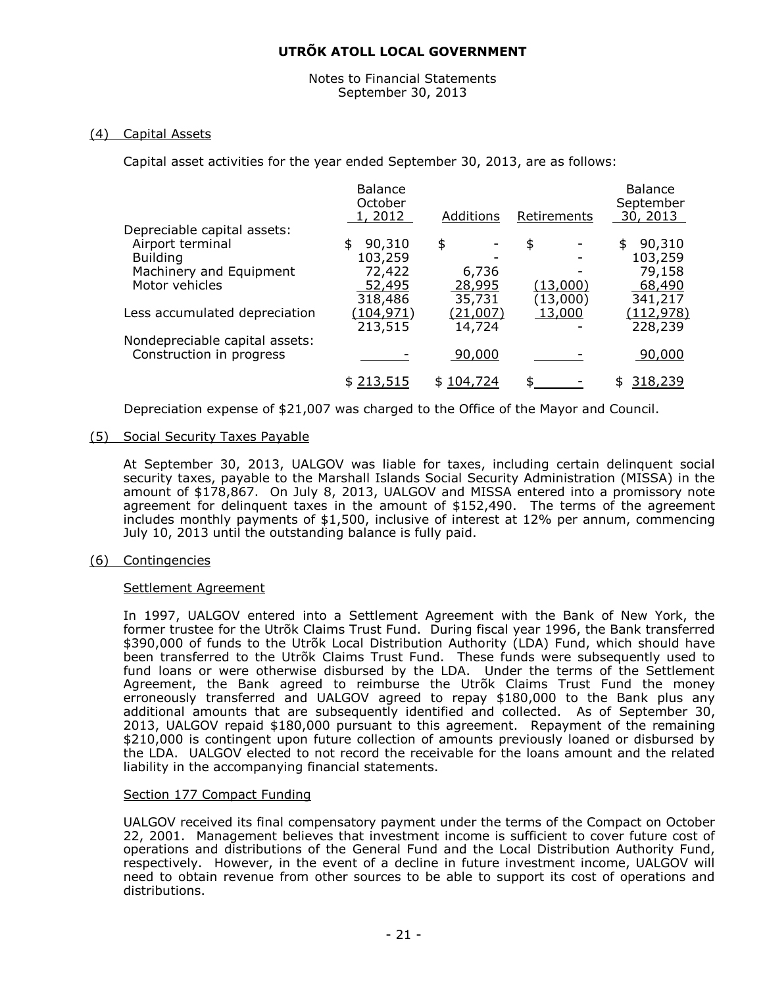#### Notes to Financial Statements September 30, 2013

# (4) Capital Assets

Capital asset activities for the year ended September 30, 2013, are as follows:

|                                | <b>Balance</b><br>October |                 |             | <b>Balance</b><br>September |
|--------------------------------|---------------------------|-----------------|-------------|-----------------------------|
|                                | 1, 2012                   | Additions       | Retirements | 30, 2013                    |
| Depreciable capital assets:    |                           |                 |             |                             |
| Airport terminal               | 90,310<br>\$              | \$              | \$          | 90,310<br>\$                |
| <b>Building</b>                | 103,259                   |                 |             | 103,259                     |
| Machinery and Equipment        | 72,422                    | 6,736           |             | 79,158                      |
| Motor vehicles                 | 52,495                    | 28,995          | (13,000)    | 68,490                      |
|                                | 318,486                   | 35,731          | (13,000)    | 341,217                     |
| Less accumulated depreciation  | (104, 971)                | <u>(21,007)</u> | 13,000      | <u>(112,978)</u>            |
|                                | 213,515                   | 14,724          |             | 228,239                     |
| Nondepreciable capital assets: |                           |                 |             |                             |
| Construction in progress       |                           | 90,000          |             | 90,000                      |
|                                | \$213,515                 | 104,724<br>\$.  | ፍ           | <u>318,239</u>              |
|                                |                           |                 |             |                             |

Depreciation expense of \$21,007 was charged to the Office of the Mayor and Council.

#### (5) Social Security Taxes Payable

At September 30, 2013, UALGOV was liable for taxes, including certain delinquent social security taxes, payable to the Marshall Islands Social Security Administration (MISSA) in the amount of \$178,867. On July 8, 2013, UALGOV and MISSA entered into a promissory note agreement for delinquent taxes in the amount of \$152,490. The terms of the agreement includes monthly payments of \$1,500, inclusive of interest at 12% per annum, commencing July 10, 2013 until the outstanding balance is fully paid.

# (6) Contingencies

#### Settlement Agreement

In 1997, UALGOV entered into a Settlement Agreement with the Bank of New York, the former trustee for the Utrõk Claims Trust Fund. During fiscal year 1996, the Bank transferred \$390,000 of funds to the Utrõk Local Distribution Authority (LDA) Fund, which should have been transferred to the Utrõk Claims Trust Fund. These funds were subsequently used to fund loans or were otherwise disbursed by the LDA. Under the terms of the Settlement Agreement, the Bank agreed to reimburse the Utrõk Claims Trust Fund the money erroneously transferred and UALGOV agreed to repay \$180,000 to the Bank plus any additional amounts that are subsequently identified and collected. As of September 30, 2013, UALGOV repaid \$180,000 pursuant to this agreement. Repayment of the remaining \$210,000 is contingent upon future collection of amounts previously loaned or disbursed by the LDA. UALGOV elected to not record the receivable for the loans amount and the related liability in the accompanying financial statements.

#### Section 177 Compact Funding

UALGOV received its final compensatory payment under the terms of the Compact on October 22, 2001. Management believes that investment income is sufficient to cover future cost of operations and distributions of the General Fund and the Local Distribution Authority Fund, respectively. However, in the event of a decline in future investment income, UALGOV will need to obtain revenue from other sources to be able to support its cost of operations and distributions.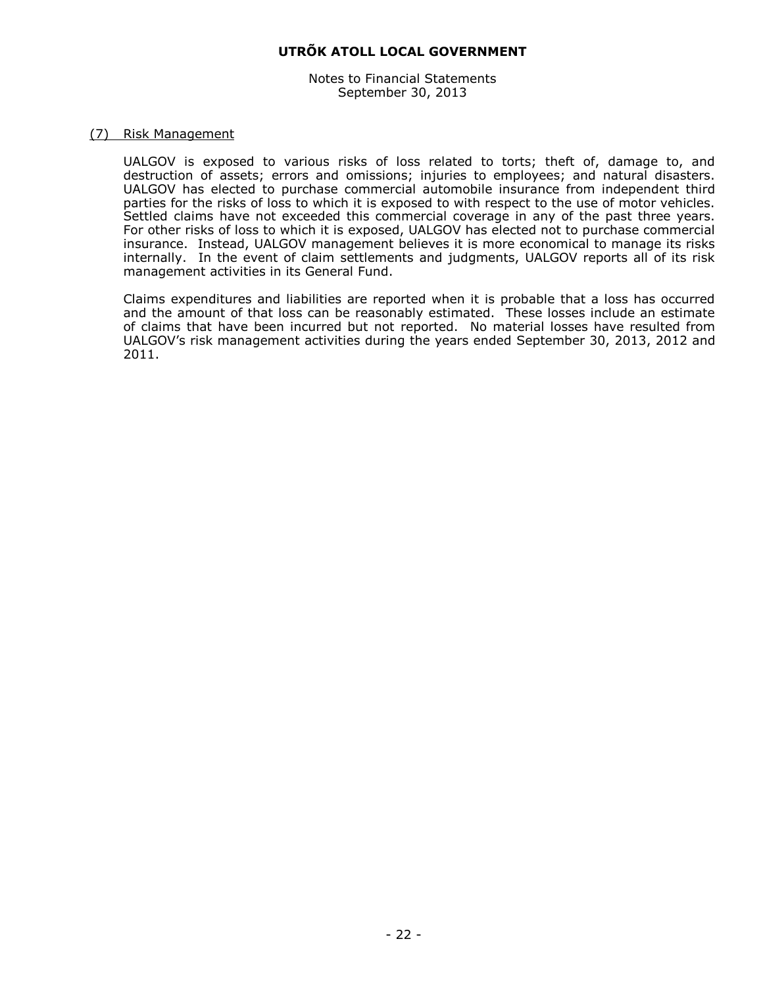Notes to Financial Statements September 30, 2013

#### (7) Risk Management

UALGOV is exposed to various risks of loss related to torts; theft of, damage to, and destruction of assets; errors and omissions; injuries to employees; and natural disasters. UALGOV has elected to purchase commercial automobile insurance from independent third parties for the risks of loss to which it is exposed to with respect to the use of motor vehicles. Settled claims have not exceeded this commercial coverage in any of the past three years. For other risks of loss to which it is exposed, UALGOV has elected not to purchase commercial insurance. Instead, UALGOV management believes it is more economical to manage its risks internally. In the event of claim settlements and judgments, UALGOV reports all of its risk management activities in its General Fund.

Claims expenditures and liabilities are reported when it is probable that a loss has occurred and the amount of that loss can be reasonably estimated. These losses include an estimate of claims that have been incurred but not reported. No material losses have resulted from UALGOV's risk management activities during the years ended September 30, 2013, 2012 and 2011.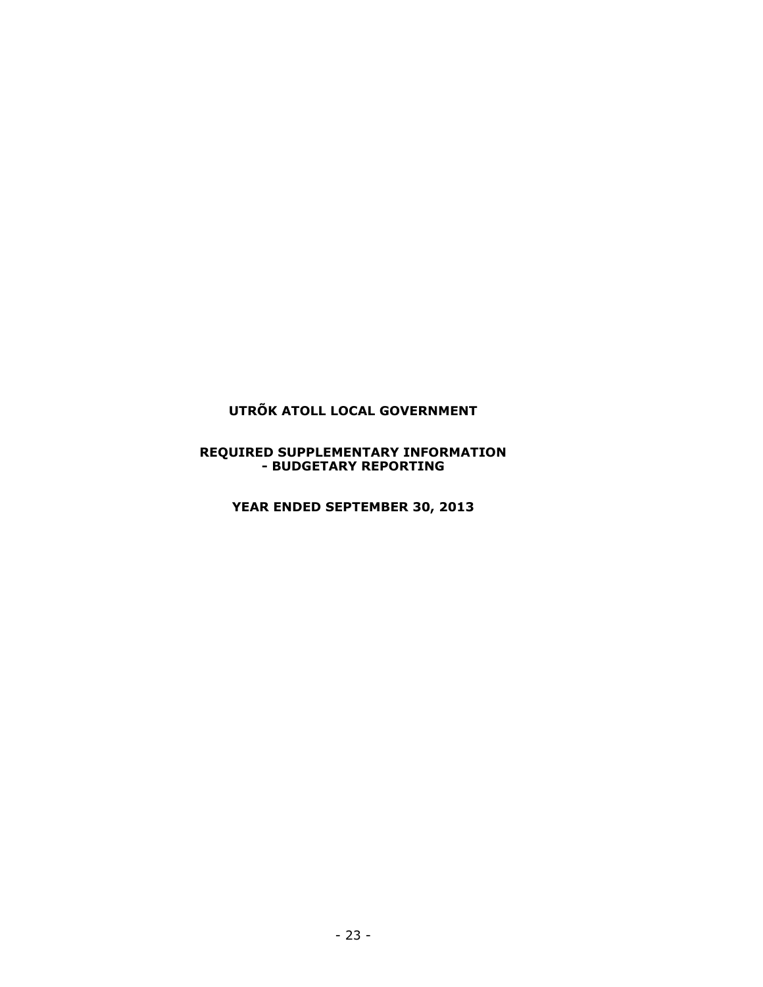#### **REQUIRED SUPPLEMENTARY INFORMATION - BUDGETARY REPORTING**

**YEAR ENDED SEPTEMBER 30, 2013**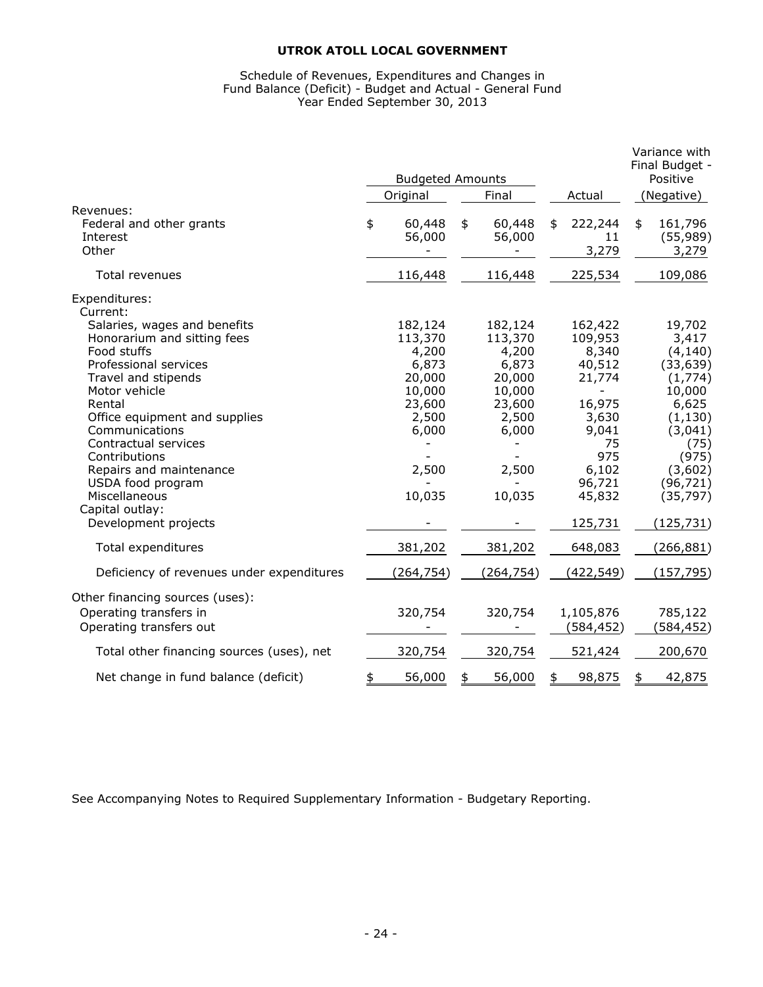#### Schedule of Revenues, Expenditures and Changes in Fund Balance (Deficit) - Budget and Actual - General Fund Year Ended September 30, 2013

|                                                                                                                                                                                                      | <b>Budgeted Amounts</b>                                            |               |                                                                    |                                                                     | Variance with<br>Final Budget -<br>Positive                                             |
|------------------------------------------------------------------------------------------------------------------------------------------------------------------------------------------------------|--------------------------------------------------------------------|---------------|--------------------------------------------------------------------|---------------------------------------------------------------------|-----------------------------------------------------------------------------------------|
|                                                                                                                                                                                                      | Original                                                           |               | Final                                                              | Actual                                                              | (Negative)                                                                              |
| Revenues:<br>Federal and other grants<br>Interest<br>Other                                                                                                                                           | \$<br>60,448<br>56,000                                             | \$            | 60,448<br>56,000                                                   | \$<br>222,244<br>11<br>3,279                                        | \$<br>161,796<br>(55, 989)<br>3,279                                                     |
| Total revenues                                                                                                                                                                                       | 116,448                                                            |               | 116,448                                                            | 225,534                                                             | 109,086                                                                                 |
| Expenditures:<br>Current:<br>Salaries, wages and benefits<br>Honorarium and sitting fees<br>Food stuffs<br>Professional services<br>Travel and stipends<br>Motor vehicle<br>Rental                   | 182,124<br>113,370<br>4,200<br>6,873<br>20,000<br>10,000<br>23,600 |               | 182,124<br>113,370<br>4,200<br>6,873<br>20,000<br>10,000<br>23,600 | 162,422<br>109,953<br>8,340<br>40,512<br>21,774<br>16,975           | 19,702<br>3,417<br>(4, 140)<br>(33, 639)<br>(1,774)<br>10,000<br>6,625                  |
| Office equipment and supplies<br>Communications<br>Contractual services<br>Contributions<br>Repairs and maintenance<br>USDA food program<br>Miscellaneous<br>Capital outlay:<br>Development projects | 2,500<br>6,000<br>2,500<br>10,035                                  |               | 2,500<br>6,000<br>2,500<br>10,035                                  | 3,630<br>9,041<br>75<br>975<br>6,102<br>96,721<br>45,832<br>125,731 | (1, 130)<br>(3,041)<br>(75)<br>(975)<br>(3,602)<br>(96, 721)<br>(35, 797)<br>(125, 731) |
| Total expenditures                                                                                                                                                                                   | 381,202                                                            |               | 381,202                                                            | 648,083                                                             | (266, 881)                                                                              |
| Deficiency of revenues under expenditures                                                                                                                                                            | (264, 754)                                                         |               | (264, 754)                                                         | (422, 549)                                                          | (157, 795)                                                                              |
| Other financing sources (uses):<br>Operating transfers in<br>Operating transfers out                                                                                                                 | 320,754                                                            |               | 320,754                                                            | 1,105,876<br>(584, 452)                                             | 785,122<br>(584, 452)                                                                   |
| Total other financing sources (uses), net                                                                                                                                                            | 320,754                                                            |               | 320,754                                                            | 521,424                                                             | 200,670                                                                                 |
| Net change in fund balance (deficit)                                                                                                                                                                 | \$<br>56,000                                                       | $\frac{1}{2}$ | 56,000                                                             | \$<br>98,875                                                        | \$<br>42,875                                                                            |

See Accompanying Notes to Required Supplementary Information - Budgetary Reporting.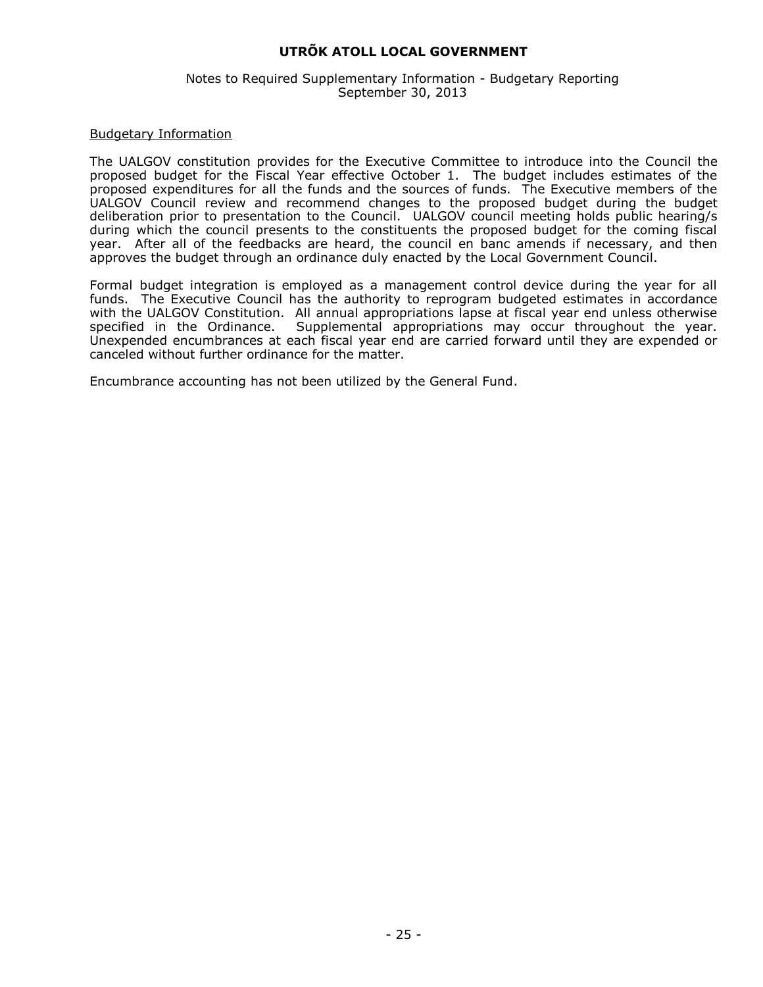#### Notes to Required Supplementary Information - Budgetary Reporting September 30, 2013

#### Budgetary Information

The UALGOV constitution provides for the Executive Committee to introduce into the Council the proposed budget for the Fiscal Year effective October 1. The budget includes estimates of the proposed expenditures for all the funds and the sources of funds. The Executive members of the UALGOV Council review and recommend changes to the proposed budget during the budget deliberation prior to presentation to the Council. UALGOV council meeting holds public hearing/s during which the council presents to the constituents the proposed budget for the coming fiscal year. After all of the feedbacks are heard, the council en banc amends if necessary, and then approves the budget through an ordinance duly enacted by the Local Government Council.

Formal budget integration is employed as a management control device during the year for all funds. The Executive Council has the authority to reprogram budgeted estimates in accordance with the UALGOV Constitution. All annual appropriations lapse at fiscal year end unless otherwise specified in the Ordinance. Supplemental appropriations may occur throughout the year. Unexpended encumbrances at each fiscal year end are carried forward until they are expended or canceled without further ordinance for the matter.

Encumbrance accounting has not been utilized by the General Fund.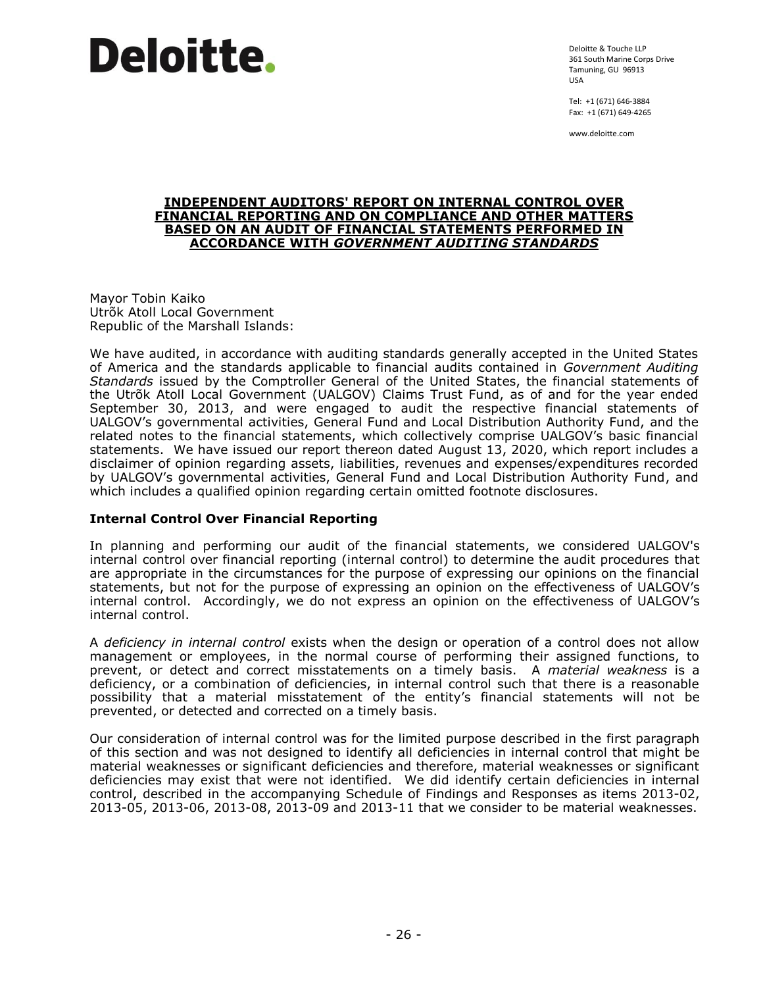Deloitte & Touche LLP 361 South Marine Corps Drive Tamuning, GU 96913 USA

Tel: +1 (671) 646-3884 Fax: +1 (671) 649-4265

www.deloitte.com

#### **INDEPENDENT AUDITORS' REPORT ON INTERNAL CONTROL OVER FINANCIAL REPORTING AND ON COMPLIANCE AND OTHER MATTERS BASED ON AN AUDIT OF FINANCIAL STATEMENTS PERFORMED IN ACCORDANCE WITH** *GOVERNMENT AUDITING STANDARDS*

Mayor Tobin Kaiko Utrõk Atoll Local Government Republic of the Marshall Islands:

We have audited, in accordance with auditing standards generally accepted in the United States of America and the standards applicable to financial audits contained in *Government Auditing Standards* issued by the Comptroller General of the United States, the financial statements of the Utrõk Atoll Local Government (UALGOV) Claims Trust Fund, as of and for the year ended September 30, 2013, and were engaged to audit the respective financial statements of UALGOV's governmental activities, General Fund and Local Distribution Authority Fund, and the related notes to the financial statements, which collectively comprise UALGOV's basic financial statements. We have issued our report thereon dated August 13, 2020, which report includes a disclaimer of opinion regarding assets, liabilities, revenues and expenses/expenditures recorded by UALGOV's governmental activities, General Fund and Local Distribution Authority Fund, and which includes a qualified opinion regarding certain omitted footnote disclosures.

# **Internal Control Over Financial Reporting**

In planning and performing our audit of the financial statements, we considered UALGOV's internal control over financial reporting (internal control) to determine the audit procedures that are appropriate in the circumstances for the purpose of expressing our opinions on the financial statements, but not for the purpose of expressing an opinion on the effectiveness of UALGOV's internal control. Accordingly, we do not express an opinion on the effectiveness of UALGOV's internal control.

A *deficiency in internal control* exists when the design or operation of a control does not allow management or employees, in the normal course of performing their assigned functions, to prevent, or detect and correct misstatements on a timely basis. A *material weakness* is a deficiency, or a combination of deficiencies, in internal control such that there is a reasonable possibility that a material misstatement of the entity's financial statements will not be prevented, or detected and corrected on a timely basis.

Our consideration of internal control was for the limited purpose described in the first paragraph of this section and was not designed to identify all deficiencies in internal control that might be material weaknesses or significant deficiencies and therefore, material weaknesses or significant deficiencies may exist that were not identified. We did identify certain deficiencies in internal control, described in the accompanying Schedule of Findings and Responses as items 2013-02, 2013-05, 2013-06, 2013-08, 2013-09 and 2013-11 that we consider to be material weaknesses.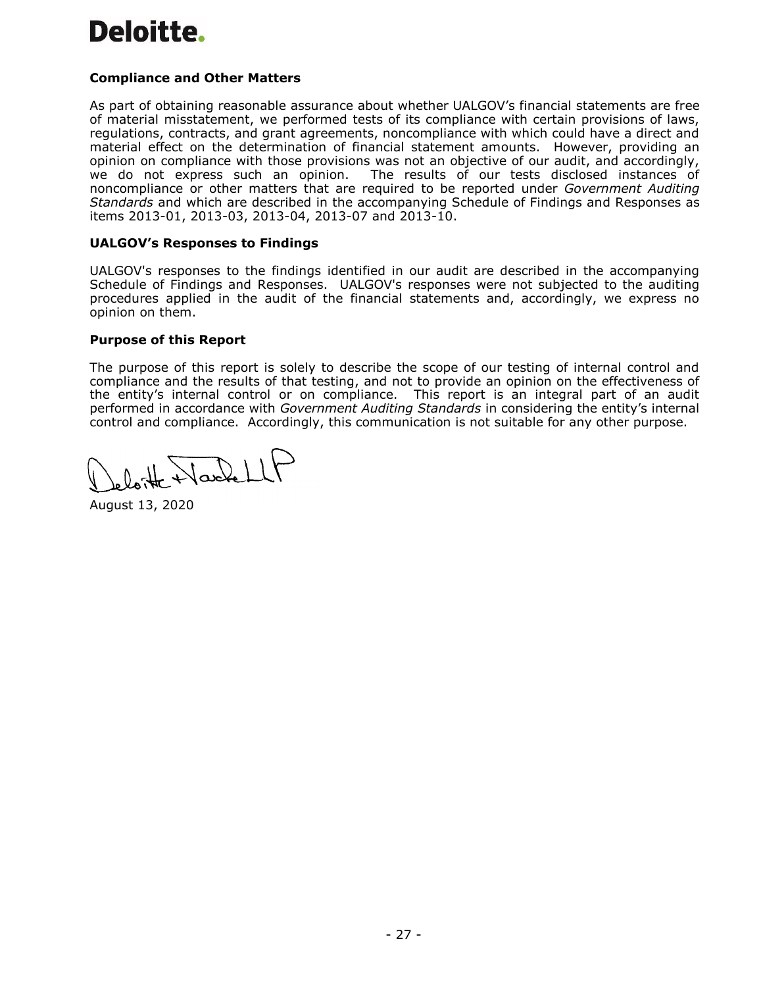# **Compliance and Other Matters**

As part of obtaining reasonable assurance about whether UALGOV's financial statements are free of material misstatement, we performed tests of its compliance with certain provisions of laws, regulations, contracts, and grant agreements, noncompliance with which could have a direct and material effect on the determination of financial statement amounts. However, providing an opinion on compliance with those provisions was not an objective of our audit, and accordingly, we do not express such an opinion. The results of our tests disclosed instances of noncompliance or other matters that are required to be reported under *Government Auditing Standards* and which are described in the accompanying Schedule of Findings and Responses as items 2013-01, 2013-03, 2013-04, 2013-07 and 2013-10.

# **UALGOV's Responses to Findings**

UALGOV's responses to the findings identified in our audit are described in the accompanying Schedule of Findings and Responses. UALGOV's responses were not subjected to the auditing procedures applied in the audit of the financial statements and, accordingly, we express no opinion on them.

# **Purpose of this Report**

The purpose of this report is solely to describe the scope of our testing of internal control and compliance and the results of that testing, and not to provide an opinion on the effectiveness of the entity's internal control or on compliance. This report is an integral part of an audit performed in accordance with *Government Auditing Standards* in considering the entity's internal control and compliance. Accordingly, this communication is not suitable for any other purpose.

August 13, 2020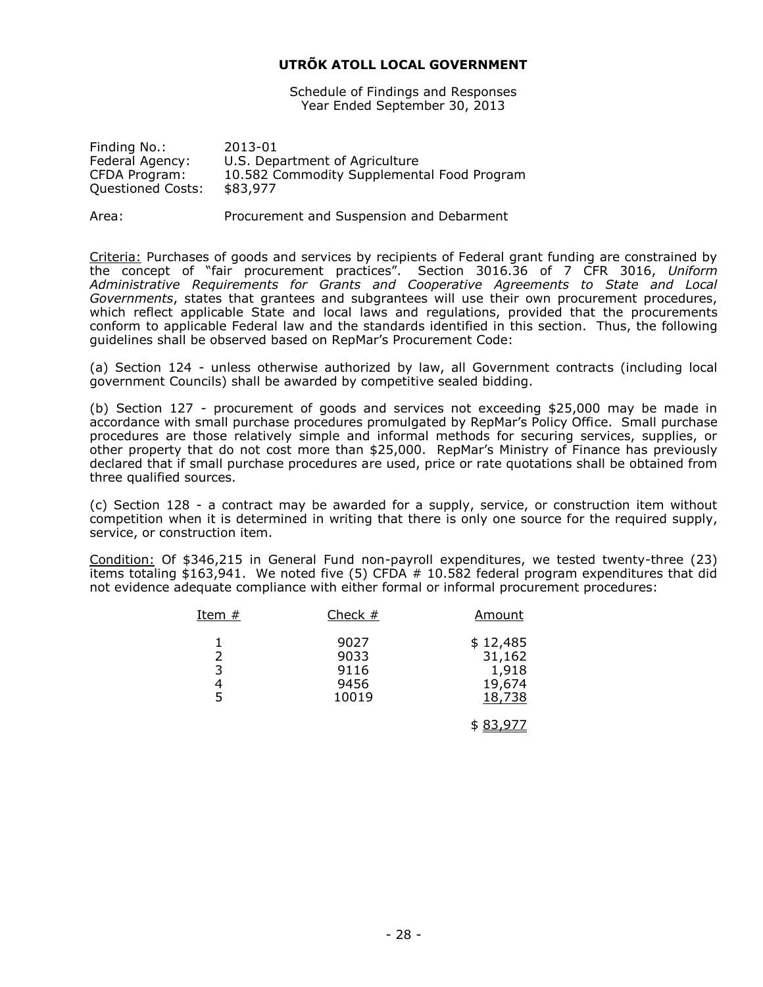Schedule of Findings and Responses Year Ended September 30, 2013

| Finding No.:             | 2013-01                                    |
|--------------------------|--------------------------------------------|
| Federal Agency:          | U.S. Department of Agriculture             |
| CFDA Program:            | 10.582 Commodity Supplemental Food Program |
| <b>Questioned Costs:</b> | \$83,977                                   |
|                          |                                            |

Area: Procurement and Suspension and Debarment

Criteria: Purchases of goods and services by recipients of Federal grant funding are constrained by the concept of "fair procurement practices". Section 3016.36 of 7 CFR 3016, *Uniform Administrative Requirements for Grants and Cooperative Agreements to State and Local Governments*, states that grantees and subgrantees will use their own procurement procedures, which reflect applicable State and local laws and regulations, provided that the procurements conform to applicable Federal law and the standards identified in this section. Thus, the following guidelines shall be observed based on RepMar's Procurement Code:

(a) Section 124 - unless otherwise authorized by law, all Government contracts (including local government Councils) shall be awarded by competitive sealed bidding.

(b) Section 127 - procurement of goods and services not exceeding \$25,000 may be made in accordance with small purchase procedures promulgated by RepMar's Policy Office. Small purchase procedures are those relatively simple and informal methods for securing services, supplies, or other property that do not cost more than \$25,000. RepMar's Ministry of Finance has previously declared that if small purchase procedures are used, price or rate quotations shall be obtained from three qualified sources.

(c) Section 128 - a contract may be awarded for a supply, service, or construction item without competition when it is determined in writing that there is only one source for the required supply, service, or construction item.

Condition: Of \$346,215 in General Fund non-payroll expenditures, we tested twenty-three (23) items totaling \$163,941. We noted five (5) CFDA # 10.582 federal program expenditures that did not evidence adequate compliance with either formal or informal procurement procedures:

| Item $#$    | Check $#$                             | Amount                                          |
|-------------|---------------------------------------|-------------------------------------------------|
| 2<br>3<br>5 | 9027<br>9033<br>9116<br>9456<br>10019 | \$12,485<br>31,162<br>1,918<br>19,674<br>18,738 |
|             |                                       | \$83,977                                        |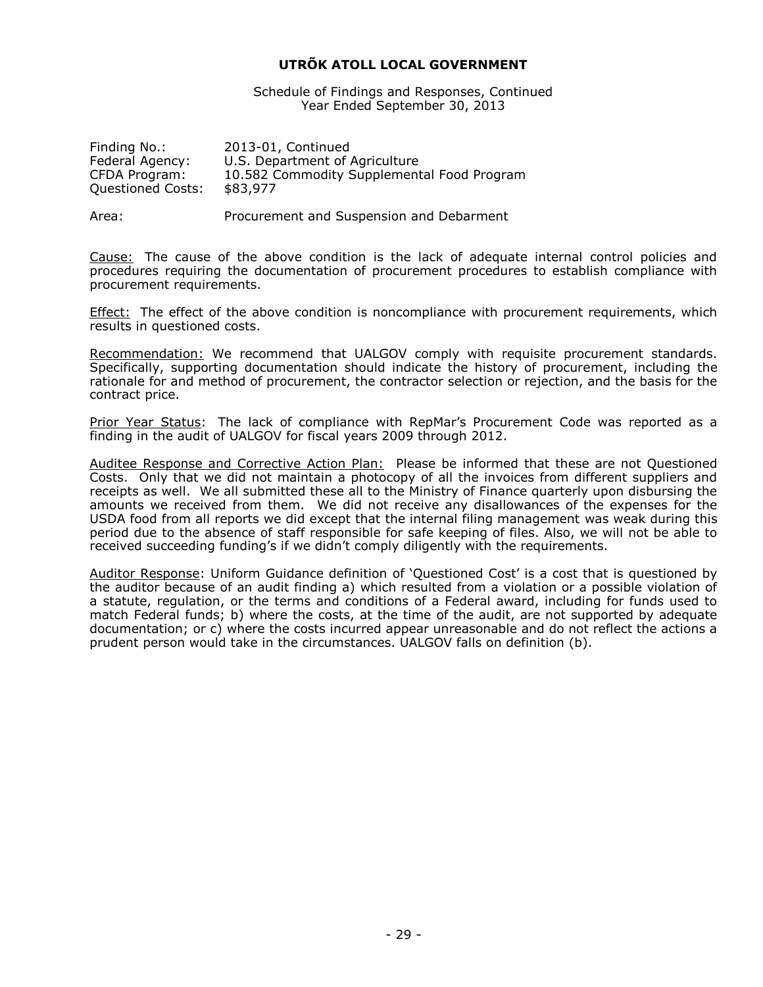Schedule of Findings and Responses, Continued Year Ended September 30, 2013

| 2013-01, Continued                         |
|--------------------------------------------|
| U.S. Department of Agriculture             |
| 10.582 Commodity Supplemental Food Program |
| \$83,977                                   |
|                                            |

Area: Procurement and Suspension and Debarment

Cause: The cause of the above condition is the lack of adequate internal control policies and procedures requiring the documentation of procurement procedures to establish compliance with procurement requirements.

Effect: The effect of the above condition is noncompliance with procurement requirements, which results in questioned costs.

Recommendation: We recommend that UALGOV comply with requisite procurement standards. Specifically, supporting documentation should indicate the history of procurement, including the rationale for and method of procurement, the contractor selection or rejection, and the basis for the contract price.

Prior Year Status: The lack of compliance with RepMar's Procurement Code was reported as a finding in the audit of UALGOV for fiscal years 2009 through 2012.

Auditee Response and Corrective Action Plan: Please be informed that these are not Questioned Costs. Only that we did not maintain a photocopy of all the invoices from different suppliers and receipts as well. We all submitted these all to the Ministry of Finance quarterly upon disbursing the amounts we received from them. We did not receive any disallowances of the expenses for the USDA food from all reports we did except that the internal filing management was weak during this period due to the absence of staff responsible for safe keeping of files. Also, we will not be able to received succeeding funding's if we didn't comply diligently with the requirements.

Auditor Response: Uniform Guidance definition of 'Questioned Cost' is a cost that is questioned by the auditor because of an audit finding a) which resulted from a violation or a possible violation of a statute, regulation, or the terms and conditions of a Federal award, including for funds used to match Federal funds; b) where the costs, at the time of the audit, are not supported by adequate documentation; or c) where the costs incurred appear unreasonable and do not reflect the actions a prudent person would take in the circumstances. UALGOV falls on definition (b).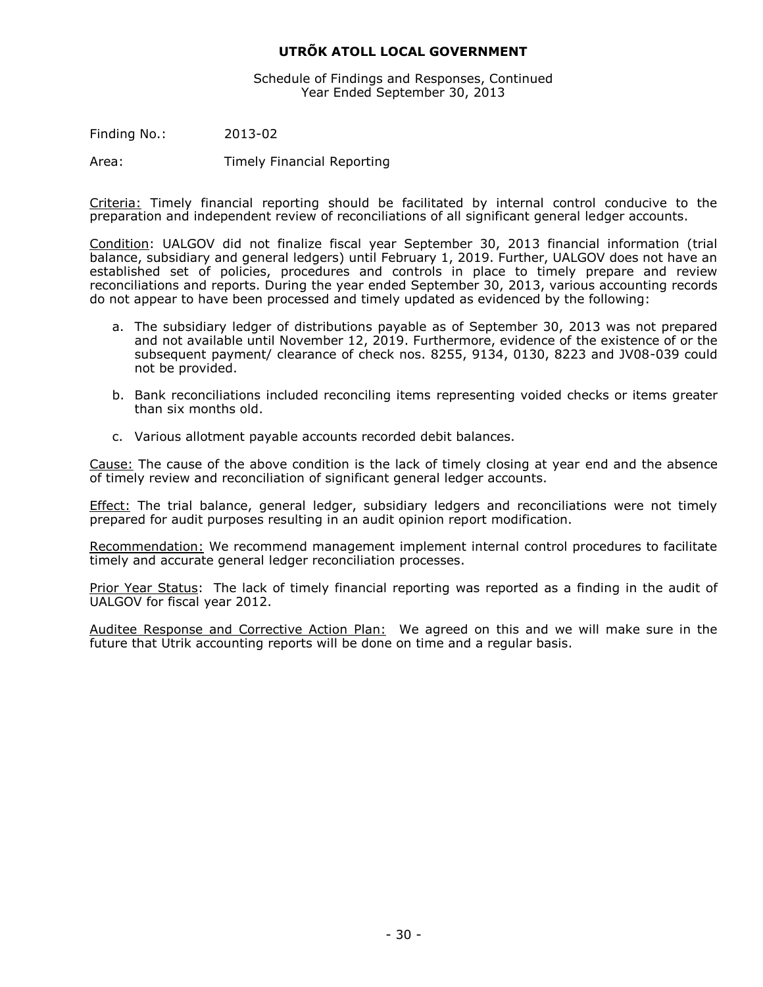Schedule of Findings and Responses, Continued Year Ended September 30, 2013

Finding No.: 2013-02

Area: Timely Financial Reporting

Criteria: Timely financial reporting should be facilitated by internal control conducive to the preparation and independent review of reconciliations of all significant general ledger accounts.

Condition: UALGOV did not finalize fiscal year September 30, 2013 financial information (trial balance, subsidiary and general ledgers) until February 1, 2019. Further, UALGOV does not have an established set of policies, procedures and controls in place to timely prepare and review reconciliations and reports. During the year ended September 30, 2013, various accounting records do not appear to have been processed and timely updated as evidenced by the following:

- a. The subsidiary ledger of distributions payable as of September 30, 2013 was not prepared and not available until November 12, 2019. Furthermore, evidence of the existence of or the subsequent payment/ clearance of check nos. 8255, 9134, 0130, 8223 and JV08-039 could not be provided.
- b. Bank reconciliations included reconciling items representing voided checks or items greater than six months old.
- c. Various allotment payable accounts recorded debit balances.

Cause: The cause of the above condition is the lack of timely closing at year end and the absence of timely review and reconciliation of significant general ledger accounts.

**Effect:** The trial balance, general ledger, subsidiary ledgers and reconciliations were not timely prepared for audit purposes resulting in an audit opinion report modification.

Recommendation: We recommend management implement internal control procedures to facilitate timely and accurate general ledger reconciliation processes.

Prior Year Status: The lack of timely financial reporting was reported as a finding in the audit of UALGOV for fiscal year 2012.

Auditee Response and Corrective Action Plan: We agreed on this and we will make sure in the future that Utrik accounting reports will be done on time and a regular basis.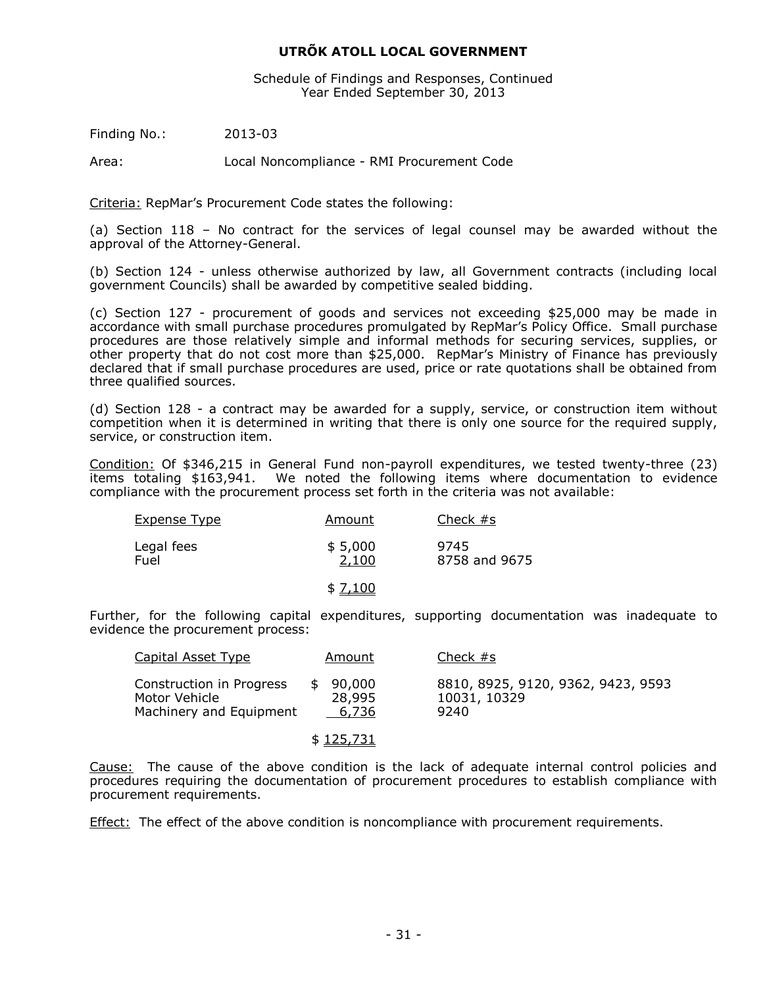Schedule of Findings and Responses, Continued Year Ended September 30, 2013

Finding No.: 2013-03

Area: Local Noncompliance - RMI Procurement Code

Criteria: RepMar's Procurement Code states the following:

(a) Section 118 – No contract for the services of legal counsel may be awarded without the approval of the Attorney-General.

(b) Section 124 - unless otherwise authorized by law, all Government contracts (including local government Councils) shall be awarded by competitive sealed bidding.

(c) Section 127 - procurement of goods and services not exceeding \$25,000 may be made in accordance with small purchase procedures promulgated by RepMar's Policy Office. Small purchase procedures are those relatively simple and informal methods for securing services, supplies, or other property that do not cost more than \$25,000. RepMar's Ministry of Finance has previously declared that if small purchase procedures are used, price or rate quotations shall be obtained from three qualified sources.

(d) Section 128 - a contract may be awarded for a supply, service, or construction item without competition when it is determined in writing that there is only one source for the required supply, service, or construction item.

Condition: Of \$346,215 in General Fund non-payroll expenditures, we tested twenty-three (23) items totaling \$163,941. We noted the following items where documentation to evidence compliance with the procurement process set forth in the criteria was not available:

| <b>Expense Type</b> | Amount           | Check $#s$            |
|---------------------|------------------|-----------------------|
| Legal fees<br>Fuel  | \$5,000<br>2,100 | 9745<br>8758 and 9675 |
|                     | \$ 7,100         |                       |

Further, for the following capital expenditures, supporting documentation was inadequate to evidence the procurement process:

| Capital Asset Type                                                   | Amount                    | Check $#s$                                                 |
|----------------------------------------------------------------------|---------------------------|------------------------------------------------------------|
| Construction in Progress<br>Motor Vehicle<br>Machinery and Equipment | 90,000<br>28,995<br>6,736 | 8810, 8925, 9120, 9362, 9423, 9593<br>10031, 10329<br>9240 |
|                                                                      | \$125,731                 |                                                            |

Cause: The cause of the above condition is the lack of adequate internal control policies and procedures requiring the documentation of procurement procedures to establish compliance with procurement requirements.

Effect: The effect of the above condition is noncompliance with procurement requirements.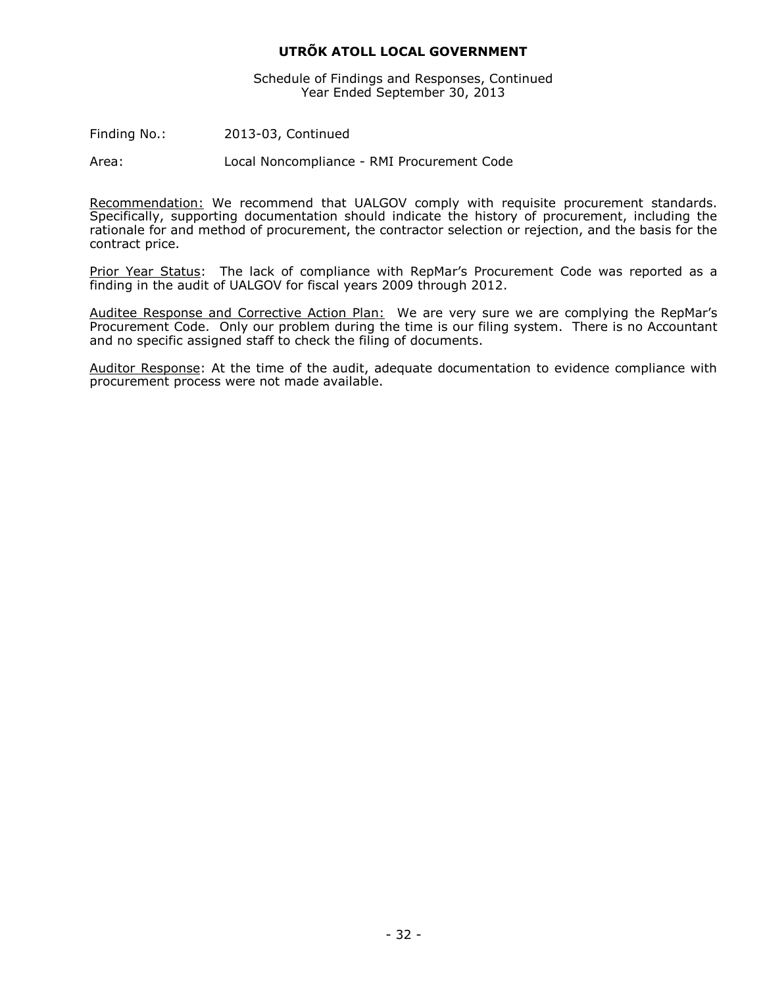Schedule of Findings and Responses, Continued Year Ended September 30, 2013

Finding No.: 2013-03, Continued

Area: Local Noncompliance - RMI Procurement Code

Recommendation: We recommend that UALGOV comply with requisite procurement standards. Specifically, supporting documentation should indicate the history of procurement, including the rationale for and method of procurement, the contractor selection or rejection, and the basis for the contract price.

Prior Year Status: The lack of compliance with RepMar's Procurement Code was reported as a finding in the audit of UALGOV for fiscal years 2009 through 2012.

Auditee Response and Corrective Action Plan: We are very sure we are complying the RepMar's Procurement Code. Only our problem during the time is our filing system. There is no Accountant and no specific assigned staff to check the filing of documents.

Auditor Response: At the time of the audit, adequate documentation to evidence compliance with procurement process were not made available.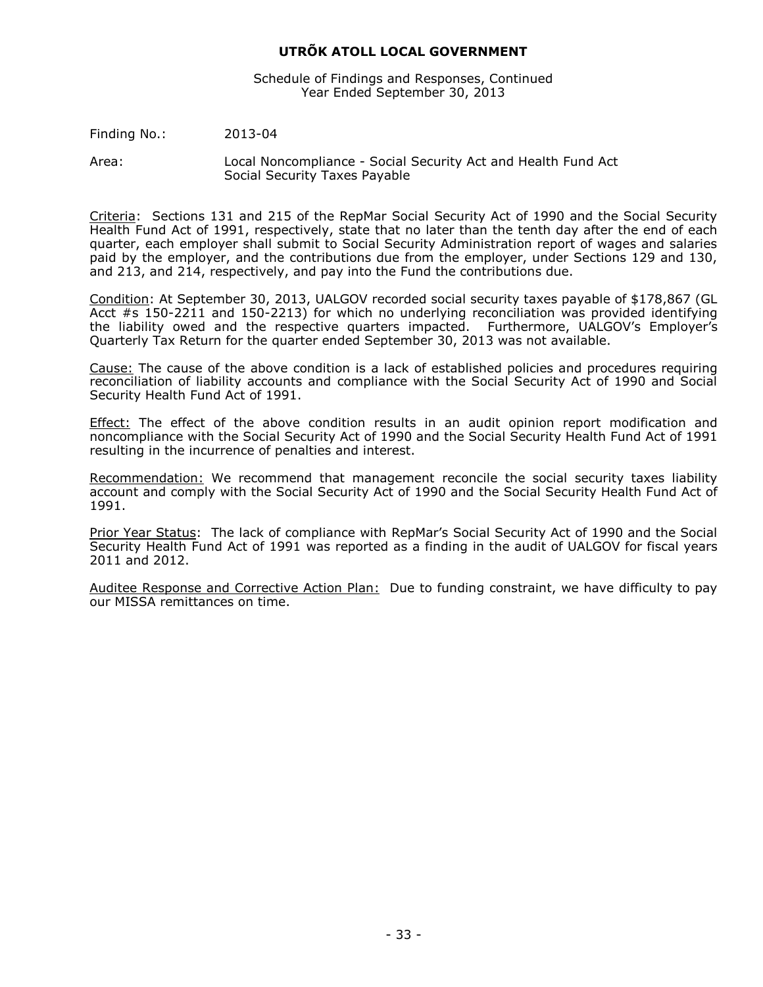Schedule of Findings and Responses, Continued Year Ended September 30, 2013

Finding No.: 2013-04

Area: Local Noncompliance - Social Security Act and Health Fund Act Social Security Taxes Payable

Criteria: Sections 131 and 215 of the RepMar Social Security Act of 1990 and the Social Security Health Fund Act of 1991, respectively, state that no later than the tenth day after the end of each quarter, each employer shall submit to Social Security Administration report of wages and salaries paid by the employer, and the contributions due from the employer, under Sections 129 and 130, and 213, and 214, respectively, and pay into the Fund the contributions due.

Condition: At September 30, 2013, UALGOV recorded social security taxes payable of \$178,867 (GL Acct #s 150-2211 and 150-2213) for which no underlying reconciliation was provided identifying the liability owed and the respective quarters impacted. Furthermore, UALGOV's Employer's Quarterly Tax Return for the quarter ended September 30, 2013 was not available.

Cause: The cause of the above condition is a lack of established policies and procedures requiring reconciliation of liability accounts and compliance with the Social Security Act of 1990 and Social Security Health Fund Act of 1991.

Effect: The effect of the above condition results in an audit opinion report modification and noncompliance with the Social Security Act of 1990 and the Social Security Health Fund Act of 1991 resulting in the incurrence of penalties and interest.

Recommendation: We recommend that management reconcile the social security taxes liability account and comply with the Social Security Act of 1990 and the Social Security Health Fund Act of 1991.

Prior Year Status: The lack of compliance with RepMar's Social Security Act of 1990 and the Social Security Health Fund Act of 1991 was reported as a finding in the audit of UALGOV for fiscal years 2011 and 2012.

Auditee Response and Corrective Action Plan: Due to funding constraint, we have difficulty to pay our MISSA remittances on time.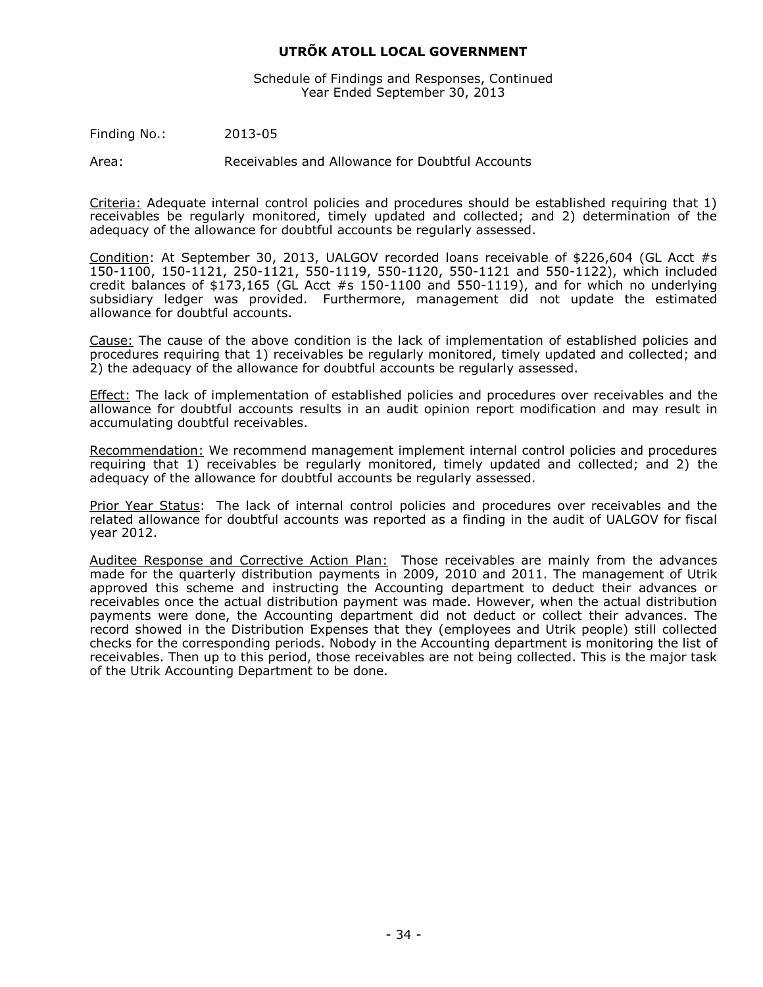Schedule of Findings and Responses, Continued Year Ended September 30, 2013

Finding No.: 2013-05

Area: Receivables and Allowance for Doubtful Accounts

Criteria: Adequate internal control policies and procedures should be established requiring that 1) receivables be regularly monitored, timely updated and collected; and 2) determination of the adequacy of the allowance for doubtful accounts be regularly assessed.

Condition: At September 30, 2013, UALGOV recorded loans receivable of \$226,604 (GL Acct #s 150-1100, 150-1121, 250-1121, 550-1119, 550-1120, 550-1121 and 550-1122), which included credit balances of  $$173,165$  (GL Acct #s 150-1100 and 550-1119), and for which no underlying subsidiary ledger was provided. Furthermore, management did not update the estimated allowance for doubtful accounts.

Cause: The cause of the above condition is the lack of implementation of established policies and procedures requiring that 1) receivables be regularly monitored, timely updated and collected; and 2) the adequacy of the allowance for doubtful accounts be regularly assessed.

Effect: The lack of implementation of established policies and procedures over receivables and the allowance for doubtful accounts results in an audit opinion report modification and may result in accumulating doubtful receivables.

Recommendation: We recommend management implement internal control policies and procedures requiring that 1) receivables be regularly monitored, timely updated and collected; and 2) the adequacy of the allowance for doubtful accounts be regularly assessed.

Prior Year Status: The lack of internal control policies and procedures over receivables and the related allowance for doubtful accounts was reported as a finding in the audit of UALGOV for fiscal year 2012.

Auditee Response and Corrective Action Plan: Those receivables are mainly from the advances made for the quarterly distribution payments in 2009, 2010 and 2011. The management of Utrik approved this scheme and instructing the Accounting department to deduct their advances or receivables once the actual distribution payment was made. However, when the actual distribution payments were done, the Accounting department did not deduct or collect their advances. The record showed in the Distribution Expenses that they (employees and Utrik people) still collected checks for the corresponding periods. Nobody in the Accounting department is monitoring the list of receivables. Then up to this period, those receivables are not being collected. This is the major task of the Utrik Accounting Department to be done.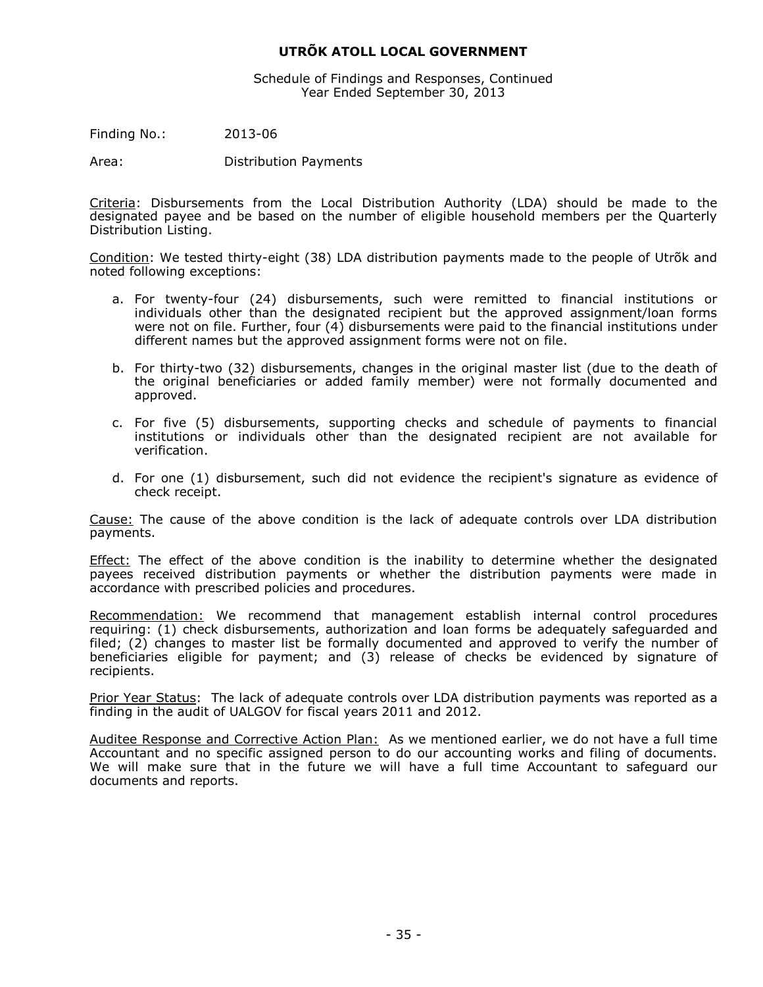Schedule of Findings and Responses, Continued Year Ended September 30, 2013

Finding No.: 2013-06

Area: Distribution Payments

Criteria: Disbursements from the Local Distribution Authority (LDA) should be made to the designated payee and be based on the number of eligible household members per the Quarterly Distribution Listing.

Condition: We tested thirty-eight (38) LDA distribution payments made to the people of Utrõk and noted following exceptions:

- a. For twenty-four (24) disbursements, such were remitted to financial institutions or individuals other than the designated recipient but the approved assignment/loan forms were not on file. Further, four (4) disbursements were paid to the financial institutions under different names but the approved assignment forms were not on file.
- b. For thirty-two (32) disbursements, changes in the original master list (due to the death of the original beneficiaries or added family member) were not formally documented and approved.
- c. For five (5) disbursements, supporting checks and schedule of payments to financial institutions or individuals other than the designated recipient are not available for verification.
- d. For one (1) disbursement, such did not evidence the recipient's signature as evidence of check receipt.

Cause: The cause of the above condition is the lack of adequate controls over LDA distribution payments.

**Effect:** The effect of the above condition is the inability to determine whether the designated payees received distribution payments or whether the distribution payments were made in accordance with prescribed policies and procedures.

Recommendation: We recommend that management establish internal control procedures requiring: (1) check disbursements, authorization and loan forms be adequately safeguarded and filed; (2) changes to master list be formally documented and approved to verify the number of beneficiaries eligible for payment; and (3) release of checks be evidenced by signature of recipients.

Prior Year Status: The lack of adequate controls over LDA distribution payments was reported as a finding in the audit of UALGOV for fiscal years 2011 and 2012.

Auditee Response and Corrective Action Plan: As we mentioned earlier, we do not have a full time Accountant and no specific assigned person to do our accounting works and filing of documents. We will make sure that in the future we will have a full time Accountant to safeguard our documents and reports.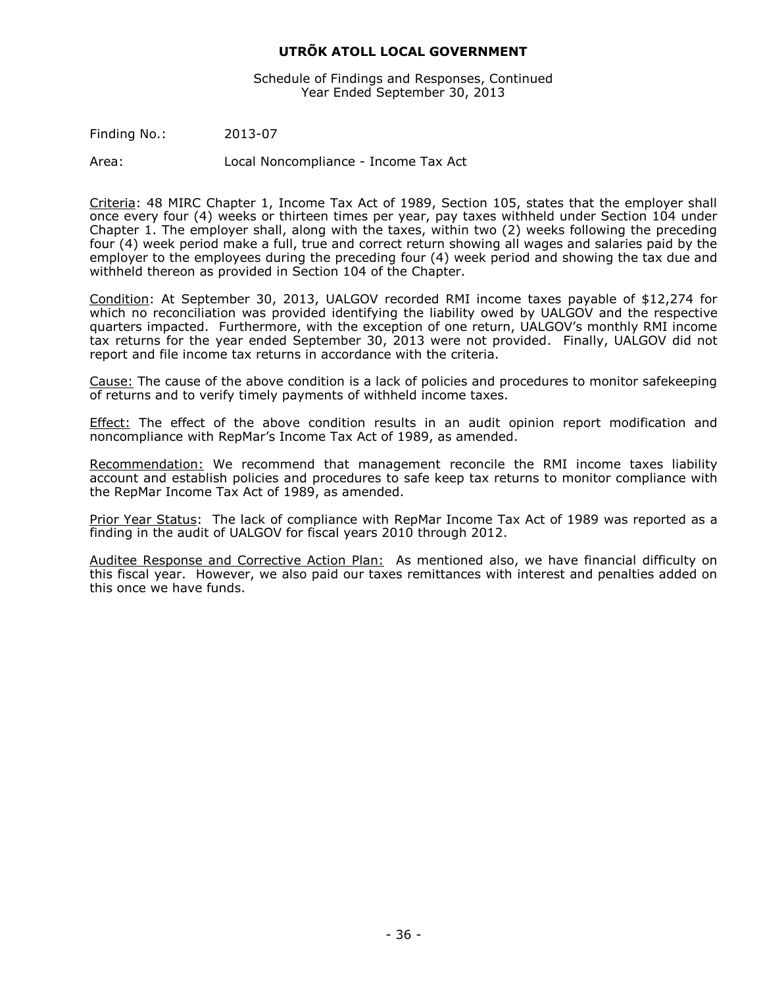Schedule of Findings and Responses, Continued Year Ended September 30, 2013

Finding No.: 2013-07

Area: Local Noncompliance - Income Tax Act

Criteria: 48 MIRC Chapter 1, Income Tax Act of 1989, Section 105, states that the employer shall once every four (4) weeks or thirteen times per year, pay taxes withheld under Section 104 under Chapter 1. The employer shall, along with the taxes, within two (2) weeks following the preceding four (4) week period make a full, true and correct return showing all wages and salaries paid by the employer to the employees during the preceding four (4) week period and showing the tax due and withheld thereon as provided in Section 104 of the Chapter.

Condition: At September 30, 2013, UALGOV recorded RMI income taxes payable of \$12,274 for which no reconciliation was provided identifying the liability owed by UALGOV and the respective quarters impacted. Furthermore, with the exception of one return, UALGOV's monthly RMI income tax returns for the year ended September 30, 2013 were not provided. Finally, UALGOV did not report and file income tax returns in accordance with the criteria.

Cause: The cause of the above condition is a lack of policies and procedures to monitor safekeeping of returns and to verify timely payments of withheld income taxes.

Effect: The effect of the above condition results in an audit opinion report modification and noncompliance with RepMar's Income Tax Act of 1989, as amended.

Recommendation: We recommend that management reconcile the RMI income taxes liability account and establish policies and procedures to safe keep tax returns to monitor compliance with the RepMar Income Tax Act of 1989, as amended.

Prior Year Status: The lack of compliance with RepMar Income Tax Act of 1989 was reported as a finding in the audit of UALGOV for fiscal years 2010 through 2012.

Auditee Response and Corrective Action Plan: As mentioned also, we have financial difficulty on this fiscal year. However, we also paid our taxes remittances with interest and penalties added on this once we have funds.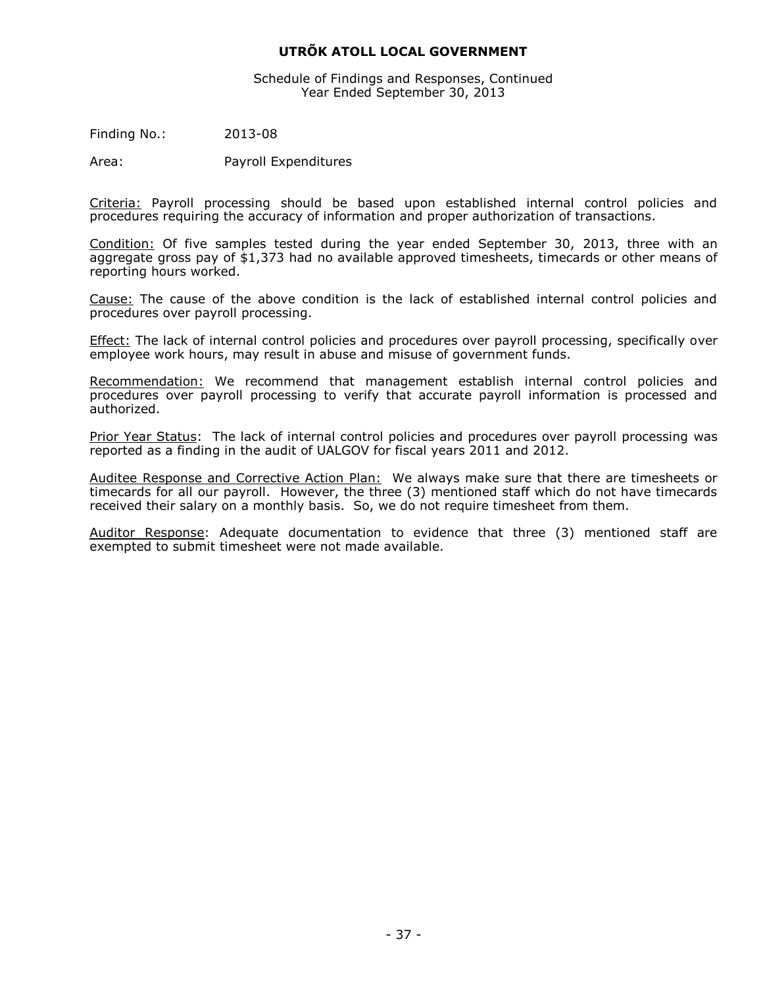Schedule of Findings and Responses, Continued Year Ended September 30, 2013

Finding No.: 2013-08

Area: Payroll Expenditures

Criteria: Payroll processing should be based upon established internal control policies and procedures requiring the accuracy of information and proper authorization of transactions.

Condition: Of five samples tested during the year ended September 30, 2013, three with an aggregate gross pay of \$1,373 had no available approved timesheets, timecards or other means of reporting hours worked.

Cause: The cause of the above condition is the lack of established internal control policies and procedures over payroll processing.

Effect: The lack of internal control policies and procedures over payroll processing, specifically over employee work hours, may result in abuse and misuse of government funds.

Recommendation: We recommend that management establish internal control policies and procedures over payroll processing to verify that accurate payroll information is processed and authorized.

Prior Year Status: The lack of internal control policies and procedures over payroll processing was reported as a finding in the audit of UALGOV for fiscal years 2011 and 2012.

Auditee Response and Corrective Action Plan: We always make sure that there are timesheets or timecards for all our payroll. However, the three (3) mentioned staff which do not have timecards received their salary on a monthly basis. So, we do not require timesheet from them.

Auditor Response: Adequate documentation to evidence that three (3) mentioned staff are exempted to submit timesheet were not made available.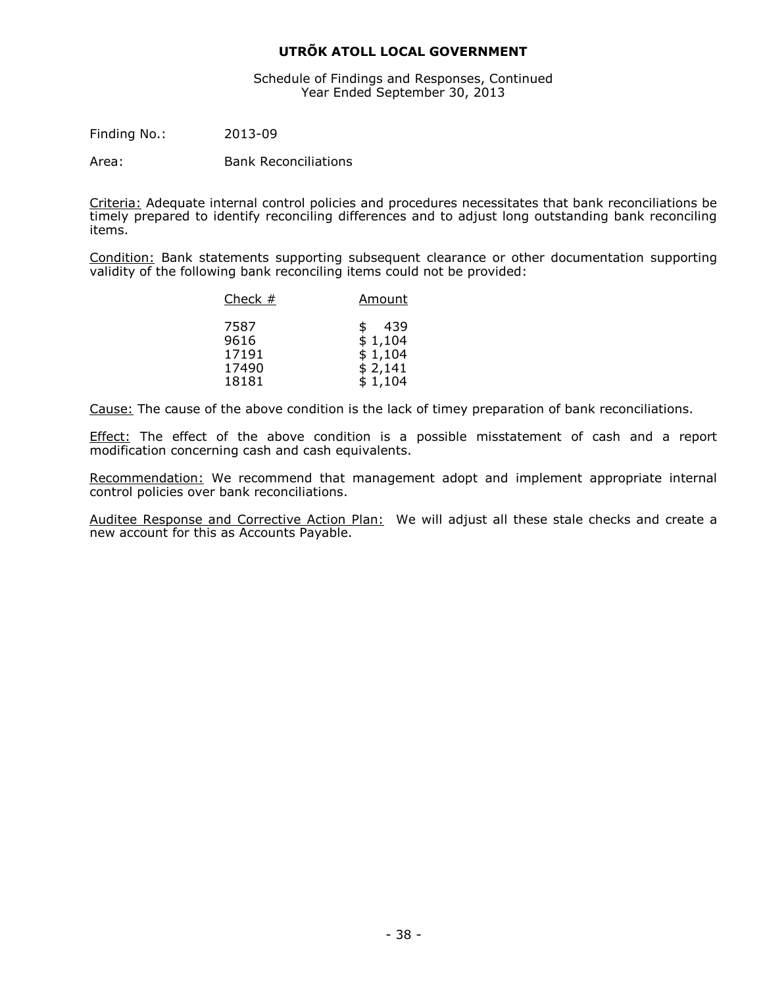Schedule of Findings and Responses, Continued Year Ended September 30, 2013

Finding No.: 2013-09

Area: Bank Reconciliations

Criteria: Adequate internal control policies and procedures necessitates that bank reconciliations be timely prepared to identify reconciling differences and to adjust long outstanding bank reconciling items.

Condition: Bank statements supporting subsequent clearance or other documentation supporting validity of the following bank reconciling items could not be provided:

| Check $#$ | Amount    |  |  |  |
|-----------|-----------|--|--|--|
| 7587      | 439<br>\$ |  |  |  |
| 9616      | \$1,104   |  |  |  |
| 17191     | \$1,104   |  |  |  |
| 17490     | \$2,141   |  |  |  |
| 18181     | \$1,104   |  |  |  |

Cause: The cause of the above condition is the lack of timey preparation of bank reconciliations.

Effect: The effect of the above condition is a possible misstatement of cash and a report modification concerning cash and cash equivalents.

Recommendation: We recommend that management adopt and implement appropriate internal control policies over bank reconciliations.

Auditee Response and Corrective Action Plan: We will adjust all these stale checks and create a new account for this as Accounts Payable.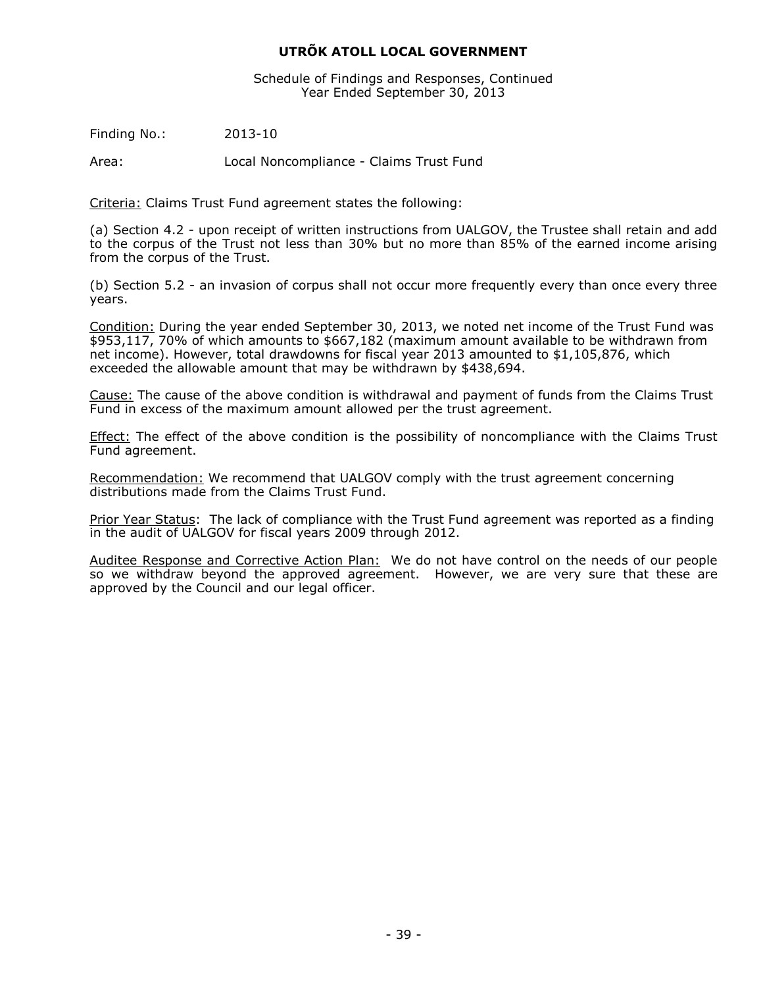Schedule of Findings and Responses, Continued Year Ended September 30, 2013

Finding No.: 2013-10

Area: Local Noncompliance - Claims Trust Fund

Criteria: Claims Trust Fund agreement states the following:

(a) Section 4.2 - upon receipt of written instructions from UALGOV, the Trustee shall retain and add to the corpus of the Trust not less than 30% but no more than 85% of the earned income arising from the corpus of the Trust.

(b) Section 5.2 - an invasion of corpus shall not occur more frequently every than once every three years.

Condition: During the year ended September 30, 2013, we noted net income of the Trust Fund was \$953,117, 70% of which amounts to \$667,182 (maximum amount available to be withdrawn from net income). However, total drawdowns for fiscal year 2013 amounted to \$1,105,876, which exceeded the allowable amount that may be withdrawn by \$438,694.

Cause: The cause of the above condition is withdrawal and payment of funds from the Claims Trust Fund in excess of the maximum amount allowed per the trust agreement.

Effect: The effect of the above condition is the possibility of noncompliance with the Claims Trust Fund agreement.

Recommendation: We recommend that UALGOV comply with the trust agreement concerning distributions made from the Claims Trust Fund.

Prior Year Status: The lack of compliance with the Trust Fund agreement was reported as a finding in the audit of UALGOV for fiscal years 2009 through 2012.

Auditee Response and Corrective Action Plan: We do not have control on the needs of our people so we withdraw beyond the approved agreement. However, we are very sure that these are approved by the Council and our legal officer.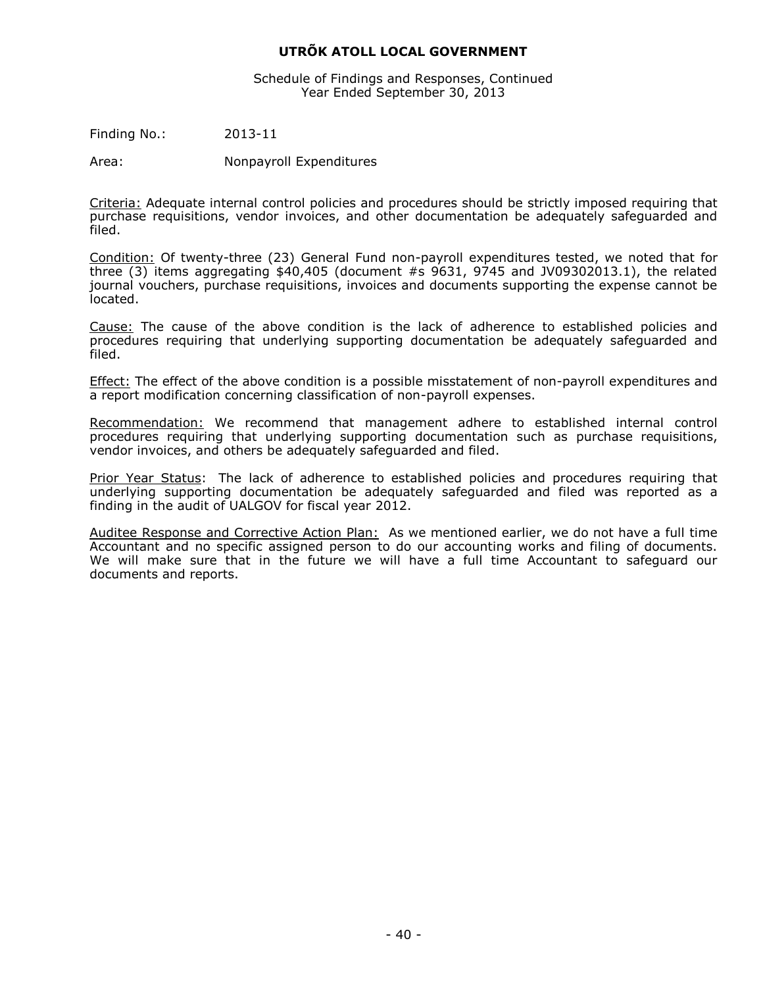Schedule of Findings and Responses, Continued Year Ended September 30, 2013

Finding No.: 2013-11

Area: Nonpayroll Expenditures

Criteria: Adequate internal control policies and procedures should be strictly imposed requiring that purchase requisitions, vendor invoices, and other documentation be adequately safeguarded and filed.

Condition: Of twenty-three (23) General Fund non-payroll expenditures tested, we noted that for three  $(3)$  items aggregating \$40,405 (document #s 9631, 9745 and JV09302013.1), the related journal vouchers, purchase requisitions, invoices and documents supporting the expense cannot be located.

Cause: The cause of the above condition is the lack of adherence to established policies and procedures requiring that underlying supporting documentation be adequately safeguarded and filed.

Effect: The effect of the above condition is a possible misstatement of non-payroll expenditures and a report modification concerning classification of non-payroll expenses.

Recommendation: We recommend that management adhere to established internal control procedures requiring that underlying supporting documentation such as purchase requisitions, vendor invoices, and others be adequately safeguarded and filed.

Prior Year Status: The lack of adherence to established policies and procedures requiring that underlying supporting documentation be adequately safeguarded and filed was reported as a finding in the audit of UALGOV for fiscal year 2012.

Auditee Response and Corrective Action Plan: As we mentioned earlier, we do not have a full time Accountant and no specific assigned person to do our accounting works and filing of documents. We will make sure that in the future we will have a full time Accountant to safeguard our documents and reports.